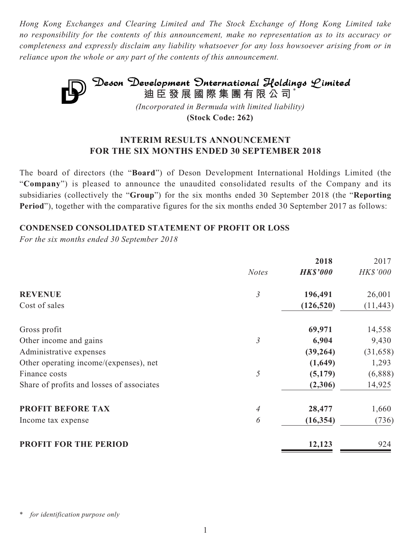*Hong Kong Exchanges and Clearing Limited and The Stock Exchange of Hong Kong Limited take no responsibility for the contents of this announcement, make no representation as to its accuracy or completeness and expressly disclaim any liability whatsoever for any loss howsoever arising from or in reliance upon the whole or any part of the contents of this announcement.*



**(Stock Code: 262)**

# **INTERIM RESULTS ANNOUNCEMENT FOR THE SIX MONTHS ENDED 30 SEPTEMBER 2018**

The board of directors (the "**Board**") of Deson Development International Holdings Limited (the "**Company**") is pleased to announce the unaudited consolidated results of the Company and its subsidiaries (collectively the "**Group**") for the six months ended 30 September 2018 (the "**Reporting Period**"), together with the comparative figures for the six months ended 30 September 2017 as follows:

## **CONDENSED CONSOLIDATED STATEMENT OF PROFIT OR LOSS**

*For the six months ended 30 September 2018*

|                                           |                | 2018            | 2017            |
|-------------------------------------------|----------------|-----------------|-----------------|
|                                           | <b>Notes</b>   | <b>HK\$'000</b> | <b>HK\$'000</b> |
| <b>REVENUE</b>                            | $\mathfrak{Z}$ | 196,491         | 26,001          |
| Cost of sales                             |                | (126, 520)      | (11, 443)       |
| Gross profit                              |                | 69,971          | 14,558          |
| Other income and gains                    | $\mathfrak{Z}$ | 6,904           | 9,430           |
| Administrative expenses                   |                | (39, 264)       | (31, 658)       |
| Other operating income/(expenses), net    |                | (1,649)         | 1,293           |
| Finance costs                             | 5              | (5,179)         | (6,888)         |
| Share of profits and losses of associates |                | (2,306)         | 14,925          |
| PROFIT BEFORE TAX                         | 4              | 28,477          | 1,660           |
| Income tax expense                        | 6              | (16, 354)       | (736)           |
| <b>PROFIT FOR THE PERIOD</b>              |                | 12,123          | 924             |

for *identification* purpose only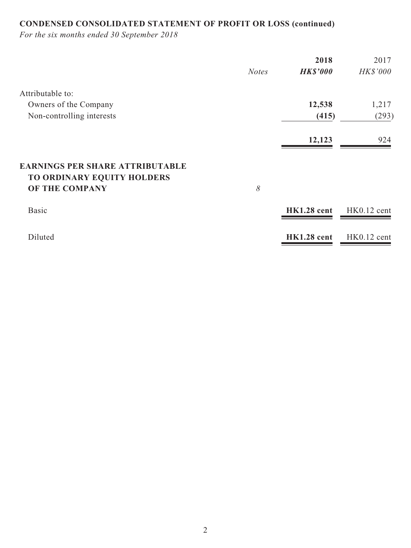# **CONDENSED CONSOLIDATED STATEMENT OF PROFIT OR LOSS (continued)**

*For the six months ended 30 September 2018*

|                                        |              | 2018               | 2017          |
|----------------------------------------|--------------|--------------------|---------------|
|                                        | <b>Notes</b> | <b>HK\$'000</b>    | HK\$'000      |
| Attributable to:                       |              |                    |               |
| Owners of the Company                  |              | 12,538             | 1,217         |
| Non-controlling interests              |              | (415)              | (293)         |
|                                        |              | 12,123             | 924           |
| <b>EARNINGS PER SHARE ATTRIBUTABLE</b> |              |                    |               |
| TO ORDINARY EQUITY HOLDERS             |              |                    |               |
| OF THE COMPANY                         | 8            |                    |               |
| <b>Basic</b>                           |              | HK1.28 cent        | $HK0.12$ cent |
| Diluted                                |              | <b>HK1.28</b> cent | HK0.12 cent   |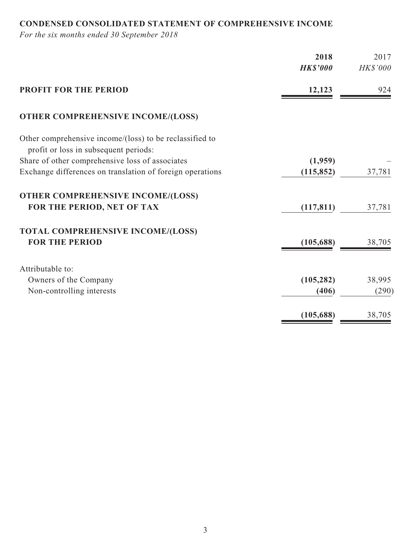# **CONDENSED CONSOLIDATED STATEMENT OF COMPREHENSIVE INCOME**

*For the six months ended 30 September 2018*

|                                                                                                  | 2018<br><b>HK\$'000</b> | 2017<br>HK\$'000 |
|--------------------------------------------------------------------------------------------------|-------------------------|------------------|
|                                                                                                  |                         |                  |
| <b>PROFIT FOR THE PERIOD</b>                                                                     | 12,123                  | 924              |
| <b>OTHER COMPREHENSIVE INCOME/(LOSS)</b>                                                         |                         |                  |
| Other comprehensive income/(loss) to be reclassified to<br>profit or loss in subsequent periods: |                         |                  |
| Share of other comprehensive loss of associates                                                  | (1,959)                 |                  |
| Exchange differences on translation of foreign operations                                        | (115, 852)              | 37,781           |
| <b>OTHER COMPREHENSIVE INCOME/(LOSS)</b>                                                         |                         |                  |
| FOR THE PERIOD, NET OF TAX                                                                       | (117, 811)              | 37,781           |
| <b>TOTAL COMPREHENSIVE INCOME/(LOSS)</b>                                                         |                         |                  |
| <b>FOR THE PERIOD</b>                                                                            | (105, 688)              | 38,705           |
| Attributable to:                                                                                 |                         |                  |
| Owners of the Company                                                                            | (105, 282)              | 38,995           |
| Non-controlling interests                                                                        | (406)                   | (290)            |
|                                                                                                  | (105, 688)              | 38,705           |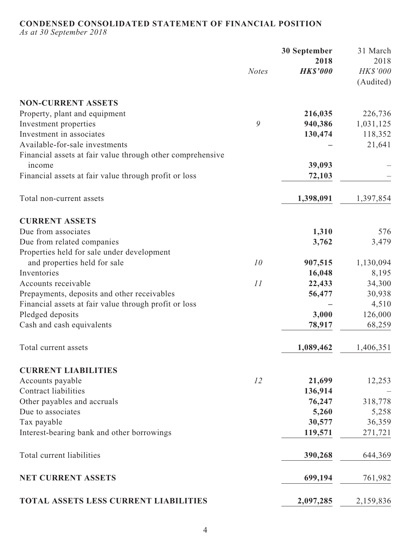# **CONDENSED CONSOLIDATED STATEMENT OF FINANCIAL POSITION**

*As at 30 September 2018*

|                                                            |              | <b>30 September</b> | 31 March  |
|------------------------------------------------------------|--------------|---------------------|-----------|
|                                                            |              | 2018                | 2018      |
|                                                            | <b>Notes</b> | <b>HK\$'000</b>     | HK\$'000  |
|                                                            |              |                     | (Audited) |
| <b>NON-CURRENT ASSETS</b>                                  |              |                     |           |
| Property, plant and equipment                              |              | 216,035             | 226,736   |
| Investment properties                                      | 9            | 940,386             | 1,031,125 |
| Investment in associates                                   |              | 130,474             | 118,352   |
| Available-for-sale investments                             |              |                     | 21,641    |
| Financial assets at fair value through other comprehensive |              |                     |           |
| income                                                     |              | 39,093              |           |
| Financial assets at fair value through profit or loss      |              | 72,103              |           |
|                                                            |              |                     |           |
| Total non-current assets                                   |              | 1,398,091           | 1,397,854 |
| <b>CURRENT ASSETS</b>                                      |              |                     |           |
| Due from associates                                        |              | 1,310               | 576       |
| Due from related companies                                 |              | 3,762               | 3,479     |
| Properties held for sale under development                 |              |                     |           |
| and properties held for sale                               | 10           | 907,515             | 1,130,094 |
| Inventories                                                |              | 16,048              | 8,195     |
| Accounts receivable                                        | 11           | 22,433              | 34,300    |
| Prepayments, deposits and other receivables                |              | 56,477              | 30,938    |
| Financial assets at fair value through profit or loss      |              |                     | 4,510     |
| Pledged deposits                                           |              | 3,000               | 126,000   |
| Cash and cash equivalents                                  |              | 78,917              | 68,259    |
| Total current assets                                       |              | 1,089,462           | 1,406,351 |
|                                                            |              |                     |           |
| <b>CURRENT LIABILITIES</b>                                 |              |                     |           |
| Accounts payable                                           | 12           | 21,699              | 12,253    |
| <b>Contract liabilities</b>                                |              | 136,914             |           |
| Other payables and accruals                                |              | 76,247              | 318,778   |
| Due to associates                                          |              | 5,260               | 5,258     |
| Tax payable                                                |              | 30,577              | 36,359    |
| Interest-bearing bank and other borrowings                 |              | 119,571             | 271,721   |
| Total current liabilities                                  |              | 390,268             | 644,369   |
| <b>NET CURRENT ASSETS</b>                                  |              | 699,194             | 761,982   |
| TOTAL ASSETS LESS CURRENT LIABILITIES                      |              | 2,097,285           | 2,159,836 |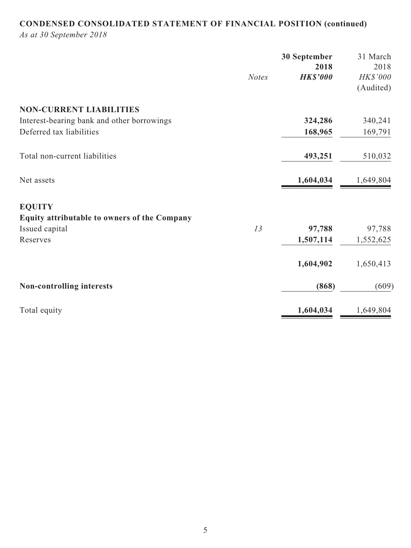# **CONDENSED CONSOLIDATED STATEMENT OF FINANCIAL POSITION (continued)**

*As at 30 September 2018*

|                                              | <b>Notes</b> | 30 September<br>2018<br><b>HK\$'000</b> | 31 March<br>2018<br>HK\$'000 |
|----------------------------------------------|--------------|-----------------------------------------|------------------------------|
|                                              |              |                                         | (Audited)                    |
| <b>NON-CURRENT LIABILITIES</b>               |              |                                         |                              |
| Interest-bearing bank and other borrowings   |              | 324,286                                 | 340,241                      |
| Deferred tax liabilities                     |              | 168,965                                 | 169,791                      |
| Total non-current liabilities                |              | 493,251                                 | 510,032                      |
| Net assets                                   |              | 1,604,034                               | 1,649,804                    |
| <b>EQUITY</b>                                |              |                                         |                              |
| Equity attributable to owners of the Company |              |                                         |                              |
| Issued capital                               | 13           | 97,788                                  | 97,788                       |
| Reserves                                     |              | 1,507,114                               | 1,552,625                    |
|                                              |              | 1,604,902                               | 1,650,413                    |
| <b>Non-controlling interests</b>             |              | (868)                                   | (609)                        |
| Total equity                                 |              | 1,604,034                               | 1,649,804                    |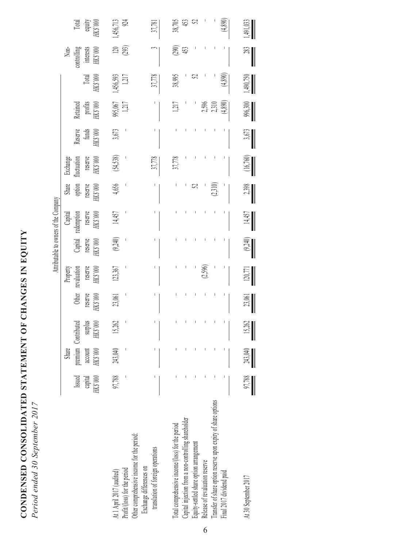CONDENSED CONSOLIDATED STATEMENT OF CHANGES IN EQUITY **CONDENSED CONSOLIDATED STATEMENT OF CHANGES IN EQUITY** Period ended 30 September 2017 *Period ended 30 September 2017*

| (4,890)<br>1,217<br>Retained<br>995,067<br>1,217<br>$\frac{\text{profit}}{\text{HKS}3000}$<br>2,596 |
|-----------------------------------------------------------------------------------------------------|
|                                                                                                     |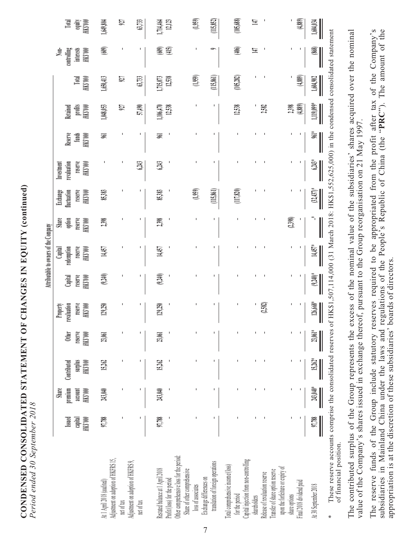| CONDENSED CONSOLIDATED STATEMENT OF CHANGES IN EQUITY (con' |                          |
|-------------------------------------------------------------|--------------------------|
|                                                             |                          |
|                                                             |                          |
|                                                             |                          |
|                                                             | ;<br>];                  |
|                                                             | n en energe so bebeenere |

|                                                                                                          |                     |                     |                    |                     |                                |                           | Attributable to owners of the Company |                     |                         |                                                                                                 |                            |                    |                            |                                 |                    |
|----------------------------------------------------------------------------------------------------------|---------------------|---------------------|--------------------|---------------------|--------------------------------|---------------------------|---------------------------------------|---------------------|-------------------------|-------------------------------------------------------------------------------------------------|----------------------------|--------------------|----------------------------|---------------------------------|--------------------|
|                                                                                                          | Issued              | Share<br>premium    | Contributed        | <b>Other</b>        | revaluation<br><b>Property</b> | Capital                   | redemption<br>Capital                 | Share<br>option     | Exchange<br>fluctuation | revaluation<br>Investment                                                                       | Reserve                    | Retained           |                            | $\sum_{i=1}^{n}$<br>controlling | Total              |
|                                                                                                          | 000, SHR<br>capital | HK\$'000<br>account | ooo,sxy<br>HV3.000 | reserve<br>HK\$'000 | reserve<br>M(X)                | reserve<br><b>HKS'000</b> | reserve<br>HK\$'000                   | reserve<br>HK\$'000 | reserve<br>HKS'000      | reserve<br>HK\$'000                                                                             | funds<br>HK\$'000          | profits<br>HKS'000 | <b>Total</b><br>$H(X)$ 000 | interests<br>HKS'000            | equity<br>HK\$'000 |
| At 1 April 2018 (audited)                                                                                | 97,788              | 243,040             | 15,262             | 23,061              | 129,250                        | (9,240)                   | 14,457                                | 2,398               | 85,383                  |                                                                                                 | SKI<br>1                   | 1,048,053          | 1,650,413                  | (609)                           | 1,649,804          |
| Adjustment on adoption of HKFRS 15,<br>net of tax                                                        | ı                   |                     | I                  | J,                  |                                |                           |                                       |                     |                         |                                                                                                 | ı                          | 927                | 927                        |                                 | 52                 |
| Adjustment on adoption of HKFRS 9,<br>net of tax                                                         |                     |                     |                    |                     |                                |                           |                                       |                     |                         | 6243                                                                                            |                            | 57,490             | 63,733                     |                                 | 6,73               |
| Restated balance at 1 April 2018                                                                         | 97,788              | 243,040             | 15,262             | 23,061              | 129,250                        | (9,240)                   | 14,457                                | 2,398               | 85,383                  | 6,243                                                                                           | 56                         | 1,106,470          | 1,715,073                  | 609)                            | 1,714,464          |
| Other comprehensive loss for the period:<br>Share of other comprehensive<br>Profit/(loss) for the period |                     |                     |                    |                     |                                |                           |                                       |                     |                         |                                                                                                 |                            | 12,538             | 12,538                     | (415)                           | $12,123$           |
| Exchange differences on<br>loss of associates                                                            |                     |                     |                    |                     |                                |                           |                                       |                     | (1,959)                 |                                                                                                 |                            |                    | (1,959)                    |                                 | (1,959)            |
| translation of foreign operations                                                                        | ı                   |                     | ı                  | I                   | ı                              | ı                         | ı                                     | ı                   | (115,861)               |                                                                                                 | ı                          | 1                  | (115, 861)                 |                                 | (115, 852)         |
| Total comprehensive income/(loss)<br>for the period                                                      |                     |                     |                    |                     |                                |                           |                                       |                     | (117, 820)              |                                                                                                 |                            | 12,538             | (105, 282)                 | (406)                           | (105,688)          |
| Capital injection from non-controlling<br>shareholders                                                   |                     |                     |                    | ı                   |                                |                           |                                       |                     |                         |                                                                                                 |                            |                    |                            | 耳                               | 耳                  |
| Transfer of share option reserve<br>Release of revaluation reserve                                       |                     |                     |                    |                     | (2,582)                        |                           |                                       |                     |                         |                                                                                                 |                            | 2,582              |                            |                                 |                    |
| upon the forfeiture or expiry of<br>share options                                                        |                     |                     |                    | $\blacksquare$      |                                |                           |                                       | (2,398)             |                         |                                                                                                 |                            | 2,398              |                            |                                 |                    |
| Final 2018 dividend paid                                                                                 |                     |                     |                    | ı                   | I.                             |                           |                                       |                     |                         |                                                                                                 |                            | (4,889)            | (4,889)                    |                                 | (4,889)            |
| At 30 September 2018                                                                                     | 97,788              | 243,040*            | $15,262*$          | $23,061*$           | 126,668*                       | $(9.240)*$                | 14,457*                               |                     | $(32, 437)^{*}$         | $6,243*$                                                                                        | $\widetilde{\mathbb{S}}^*$ | $1,119,099*$       | 1,604,902                  | (868)                           | 1,604,034          |
| These reserve accounts comprise the consolidated reserves<br>of financial position<br>₩                  |                     |                     |                    |                     |                                |                           |                                       |                     |                         | of HK\$1,507,114,000 (31 March 2018: HK\$1,552,625,000) in the condensed consolidated statement |                            |                    |                            |                                 |                    |

7

The contributed surplus of the Group represents the excess of the nominal value of the subsidiaries' shares acquired over the nominal<br>value of the Company's shares issued in exchange thereof, pursuant to the Group reorgani The contributed surplus of the Group represents the excess of the nominal value of the subsidiaries' shares acquired over the nominal value of the Company's shares issued in exchange thereof, pursuant to the Group reorganisation on 21 May 1997.

The reserve funds of the Group include statutory reserves required to be appropriated from the profit after tax of the Company's subsidiaries in Mainland China under the laws and regulations of the People's Republic of Chi The reserve funds of the Group include statutory reserves required to be appropriated from the profit after tax of the Company's subsidiaries in Mainland China under the laws and regulations of the People's Republic of China (the "**PRC**"). The amount of the appropriation is at the discretion of these subsidiaries' boards of directors.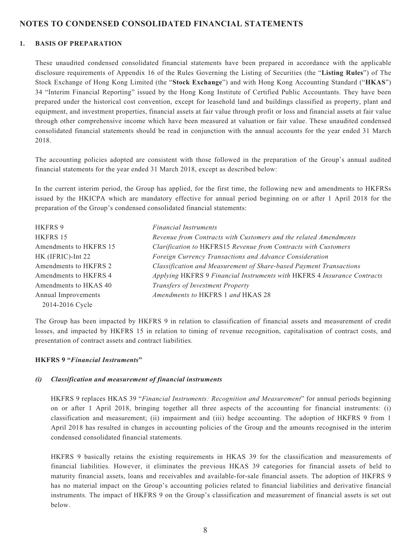## **NOTES TO CONDENSED CONSOLIDATED FINANCIAL STATEMENTS**

#### **1. BASIS OF PREPARATION**

These unaudited condensed consolidated financial statements have been prepared in accordance with the applicable disclosure requirements of Appendix 16 of the Rules Governing the Listing of Securities (the "**Listing Rules**") of The Stock Exchange of Hong Kong Limited (the "**Stock Exchange**") and with Hong Kong Accounting Standard ("**HKAS**") 34 "Interim Financial Reporting" issued by the Hong Kong Institute of Certified Public Accountants. They have been prepared under the historical cost convention, except for leasehold land and buildings classified as property, plant and equipment, and investment properties, financial assets at fair value through profit or loss and financial assets at fair value through other comprehensive income which have been measured at valuation or fair value. These unaudited condensed consolidated financial statements should be read in conjunction with the annual accounts for the year ended 31 March 2018.

The accounting policies adopted are consistent with those followed in the preparation of the Group's annual audited financial statements for the year ended 31 March 2018, except as described below:

In the current interim period, the Group has applied, for the first time, the following new and amendments to HKFRSs issued by the HKICPA which are mandatory effective for annual period beginning on or after 1 April 2018 for the preparation of the Group's condensed consolidated financial statements:

| <b>HKFRS 9</b>         | <i>Financial Instruments</i>                                            |
|------------------------|-------------------------------------------------------------------------|
| HKFRS 15               | Revenue from Contracts with Customers and the related Amendments        |
| Amendments to HKFRS 15 | Clarification to HKFRS15 Revenue from Contracts with Customers          |
| HK (IFRIC)-Int 22      | Foreign Currency Transactions and Advance Consideration                 |
| Amendments to HKFRS 2  | Classification and Measurement of Share-based Payment Transactions      |
| Amendments to HKFRS 4  | Applying HKFRS 9 Financial Instruments with HKFRS 4 Insurance Contracts |
| Amendments to HKAS 40  | <b>Transfers of Investment Property</b>                                 |
| Annual Improvements    | Amendments to HKFRS 1 and HKAS 28                                       |
| 2014-2016 Cycle        |                                                                         |

The Group has been impacted by HKFRS 9 in relation to classification of financial assets and measurement of credit losses, and impacted by HKFRS 15 in relation to timing of revenue recognition, capitalisation of contract costs, and presentation of contract assets and contract liabilities.

#### **HKFRS 9 "***Financial Instruments***"**

#### *(i) Classification and measurement of financial instruments*

 HKFRS 9 replaces HKAS 39 "*Financial Instruments: Recognition and Measurement*" for annual periods beginning on or after 1 April 2018, bringing together all three aspects of the accounting for financial instruments: (i) classification and measurement; (ii) impairment and (iii) hedge accounting. The adoption of HKFRS 9 from 1 April 2018 has resulted in changes in accounting policies of the Group and the amounts recognised in the interim condensed consolidated financial statements.

HKFRS 9 basically retains the existing requirements in HKAS 39 for the classification and measurements of financial liabilities. However, it eliminates the previous HKAS 39 categories for financial assets of held to maturity financial assets, loans and receivables and available-for-sale financial assets. The adoption of HKFRS 9 has no material impact on the Group's accounting policies related to financial liabilities and derivative financial instruments. The impact of HKFRS 9 on the Group's classification and measurement of financial assets is set out below.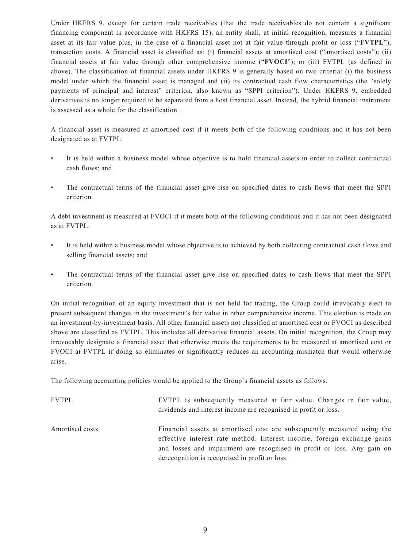Under HKFRS 9, except for certain trade receivables (that the trade receivables do not contain a significant financing component in accordance with HKFRS 15), an entity shall, at initial recognition, measures a financial asset at its fair value plus, in the case of a financial asset not at fair value through profit or loss ("**FVTPL**"), transaction costs. A financial asset is classified as: (i) financial assets at amortised cost ("amortised costs"); (ii) financial assets at fair value through other comprehensive income ("**FVOCI**"); or (iii) FVTPL (as defined in above). The classification of financial assets under HKFRS 9 is generally based on two criteria: (i) the business model under which the financial asset is managed and (ii) its contractual cash flow characteristics (the "solely payments of principal and interest" criterion, also known as "SPPI criterion"). Under HKFRS 9, embedded derivatives is no longer required to be separated from a host financial asset. Instead, the hybrid financial instrument is assessed as a whole for the classification.

A financial asset is measured at amortised cost if it meets both of the following conditions and it has not been designated as at FVTPL:

- It is held within a business model whose objective is to hold financial assets in order to collect contractual cash flows; and
- The contractual terms of the financial asset give rise on specified dates to cash flows that meet the SPPI criterion.

A debt investment is measured at FVOCI if it meets both of the following conditions and it has not been designated as at FVTPL:

- It is held within a business model whose objective is to achieved by both collecting contractual cash flows and selling financial assets; and
- The contractual terms of the financial asset give rise on specified dates to cash flows that meet the SPPI criterion.

On initial recognition of an equity investment that is not held for trading, the Group could irrevocably elect to present subsequent changes in the investment's fair value in other comprehensive income. This election is made on an investment-by-investment basis. All other financial assets not classified at amortised cost or FVOCI as described above are classified as FVTPL. This includes all derivative financial assets. On initial recognition, the Group may irrevocably designate a financial asset that otherwise meets the requirements to be measured at amortised cost or FVOCI at FVTPL if doing so eliminates or significantly reduces an accounting mismatch that would otherwise arise.

The following accounting policies would be applied to the Group's financial assets as follows:

FVTPL FVTPL is subsequently measured at fair value. Changes in fair value, dividends and interest income are recognised in profit or loss. Amortised costs Financial assets at amortised cost are subsequently measured using the effective interest rate method. Interest income, foreign exchange gains and losses and impairment are recognised in profit or loss. Any gain on derecognition is recognised in profit or loss.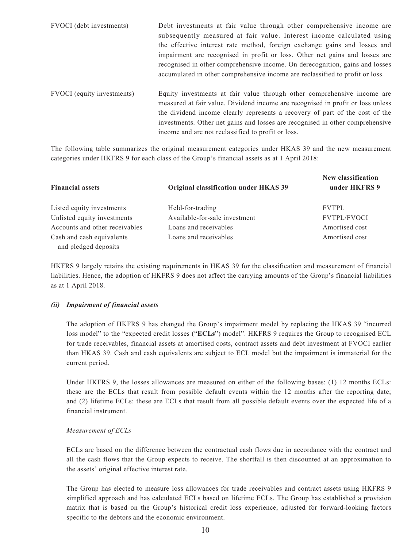| FVOCI (debt investments)   | Debt investments at fair value through other comprehensive income are<br>subsequently measured at fair value. Interest income calculated using<br>the effective interest rate method, foreign exchange gains and losses and<br>impairment are recognised in profit or loss. Other net gains and losses are<br>recognised in other comprehensive income. On derecognition, gains and losses<br>accumulated in other comprehensive income are reclassified to profit or loss. |
|----------------------------|-----------------------------------------------------------------------------------------------------------------------------------------------------------------------------------------------------------------------------------------------------------------------------------------------------------------------------------------------------------------------------------------------------------------------------------------------------------------------------|
| FVOCI (equity investments) | Equity investments at fair value through other comprehensive income are<br>measured at fair value. Dividend income are recognised in profit or loss unless<br>the dividend income clearly represents a recovery of part of the cost of the<br>investments. Other net gains and losses are recognised in other comprehensive<br>income and are not reclassified to profit or loss.                                                                                           |

The following table summarizes the original measurement categories under HKAS 39 and the new measurement categories under HKFRS 9 for each class of the Group's financial assets as at 1 April 2018:

| <b>Financial assets</b>        | Original classification under HKAS 39 | New classification<br>under HKFRS 9 |
|--------------------------------|---------------------------------------|-------------------------------------|
| Listed equity investments      | Held-for-trading                      | <b>FVTPL</b>                        |
| Unlisted equity investments    | Available-for-sale investment         | <b>FVTPL/FVOCI</b>                  |
| Accounts and other receivables | Loans and receivables                 | Amortised cost                      |
| Cash and cash equivalents      | Loans and receivables                 | Amortised cost                      |
| and pledged deposits           |                                       |                                     |

HKFRS 9 largely retains the existing requirements in HKAS 39 for the classification and measurement of financial liabilities. Hence, the adoption of HKFRS 9 does not affect the carrying amounts of the Group's financial liabilities as at 1 April 2018.

#### *(ii) Impairment of financial assets*

The adoption of HKFRS 9 has changed the Group's impairment model by replacing the HKAS 39 "incurred loss model" to the "expected credit losses ("**ECLs**") model". HKFRS 9 requires the Group to recognised ECL for trade receivables, financial assets at amortised costs, contract assets and debt investment at FVOCI earlier than HKAS 39. Cash and cash equivalents are subject to ECL model but the impairment is immaterial for the current period.

Under HKFRS 9, the losses allowances are measured on either of the following bases: (1) 12 months ECLs: these are the ECLs that result from possible default events within the 12 months after the reporting date; and (2) lifetime ECLs: these are ECLs that result from all possible default events over the expected life of a financial instrument.

#### *Measurement of ECLs*

ECLs are based on the difference between the contractual cash flows due in accordance with the contract and all the cash flows that the Group expects to receive. The shortfall is then discounted at an approximation to the assets' original effective interest rate.

The Group has elected to measure loss allowances for trade receivables and contract assets using HKFRS 9 simplified approach and has calculated ECLs based on lifetime ECLs. The Group has established a provision matrix that is based on the Group's historical credit loss experience, adjusted for forward-looking factors specific to the debtors and the economic environment.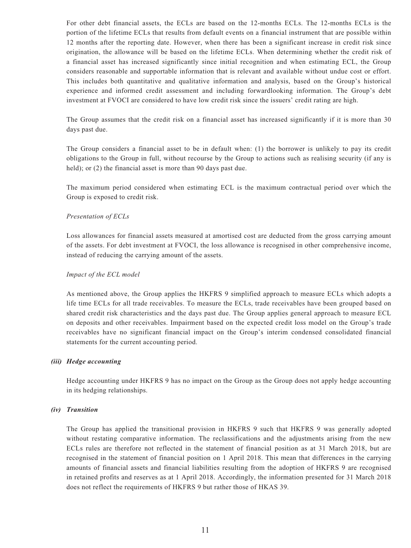For other debt financial assets, the ECLs are based on the 12-months ECLs. The 12-months ECLs is the portion of the lifetime ECLs that results from default events on a financial instrument that are possible within 12 months after the reporting date. However, when there has been a significant increase in credit risk since origination, the allowance will be based on the lifetime ECLs. When determining whether the credit risk of a financial asset has increased significantly since initial recognition and when estimating ECL, the Group considers reasonable and supportable information that is relevant and available without undue cost or effort. This includes both quantitative and qualitative information and analysis, based on the Group's historical experience and informed credit assessment and including forwardlooking information. The Group's debt investment at FVOCI are considered to have low credit risk since the issuers' credit rating are high.

The Group assumes that the credit risk on a financial asset has increased significantly if it is more than 30 days past due.

The Group considers a financial asset to be in default when: (1) the borrower is unlikely to pay its credit obligations to the Group in full, without recourse by the Group to actions such as realising security (if any is held); or (2) the financial asset is more than 90 days past due.

The maximum period considered when estimating ECL is the maximum contractual period over which the Group is exposed to credit risk.

#### *Presentation of ECLs*

Loss allowances for financial assets measured at amortised cost are deducted from the gross carrying amount of the assets. For debt investment at FVOCI, the loss allowance is recognised in other comprehensive income, instead of reducing the carrying amount of the assets.

#### *Impact of the ECL model*

As mentioned above, the Group applies the HKFRS 9 simplified approach to measure ECLs which adopts a life time ECLs for all trade receivables. To measure the ECLs, trade receivables have been grouped based on shared credit risk characteristics and the days past due. The Group applies general approach to measure ECL on deposits and other receivables. Impairment based on the expected credit loss model on the Group's trade receivables have no significant financial impact on the Group's interim condensed consolidated financial statements for the current accounting period.

#### *(iii) Hedge accounting*

Hedge accounting under HKFRS 9 has no impact on the Group as the Group does not apply hedge accounting in its hedging relationships.

#### *(iv) Transition*

The Group has applied the transitional provision in HKFRS 9 such that HKFRS 9 was generally adopted without restating comparative information. The reclassifications and the adjustments arising from the new ECLs rules are therefore not reflected in the statement of financial position as at 31 March 2018, but are recognised in the statement of financial position on 1 April 2018. This mean that differences in the carrying amounts of financial assets and financial liabilities resulting from the adoption of HKFRS 9 are recognised in retained profits and reserves as at 1 April 2018. Accordingly, the information presented for 31 March 2018 does not reflect the requirements of HKFRS 9 but rather those of HKAS 39.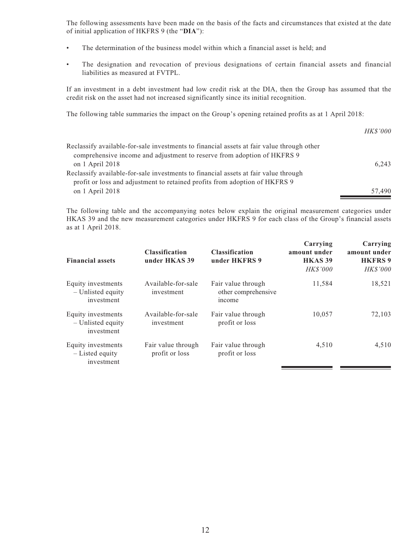The following assessments have been made on the basis of the facts and circumstances that existed at the date of initial application of HKFRS 9 (the "**DIA**"):

- The determination of the business model within which a financial asset is held; and
- The designation and revocation of previous designations of certain financial assets and financial liabilities as measured at FVTPL.

If an investment in a debt investment had low credit risk at the DIA, then the Group has assumed that the credit risk on the asset had not increased significantly since its initial recognition.

The following table summaries the impact on the Group's opening retained profits as at 1 April 2018:

| Reclassify available-for-sale investments to financial assets at fair value through other |        |
|-------------------------------------------------------------------------------------------|--------|
| comprehensive income and adjustment to reserve from adoption of HKFRS 9                   |        |
| on $1$ April 2018                                                                         | 6,243  |
| Reclassify available-for-sale investments to financial assets at fair value through       |        |
| profit or loss and adjustment to retained profits from adoption of HKFRS 9                |        |
| on $1$ April 2018                                                                         | 57.490 |

The following table and the accompanying notes below explain the original measurement categories under HKAS 39 and the new measurement categories under HKFRS 9 for each class of the Group's financial assets as at 1 April 2018.

| <b>Financial assets</b>                               | <b>Classification</b><br>under HKAS 39 | <b>Classification</b><br>under HKFRS 9              | Carrying<br>amount under<br><b>HKAS 39</b><br><b>HK\$'000</b> | Carrying<br>amount under<br><b>HKFRS 9</b><br><b>HK\$'000</b> |
|-------------------------------------------------------|----------------------------------------|-----------------------------------------------------|---------------------------------------------------------------|---------------------------------------------------------------|
| Equity investments<br>- Unlisted equity<br>investment | Available-for-sale<br>investment       | Fair value through<br>other comprehensive<br>income | 11,584                                                        | 18,521                                                        |
| Equity investments<br>- Unlisted equity<br>investment | Available-for-sale<br>investment       | Fair value through<br>profit or loss                | 10.057                                                        | 72,103                                                        |
| Equity investments<br>$-$ Listed equity<br>investment | Fair value through<br>profit or loss   | Fair value through<br>profit or loss                | 4,510                                                         | 4,510                                                         |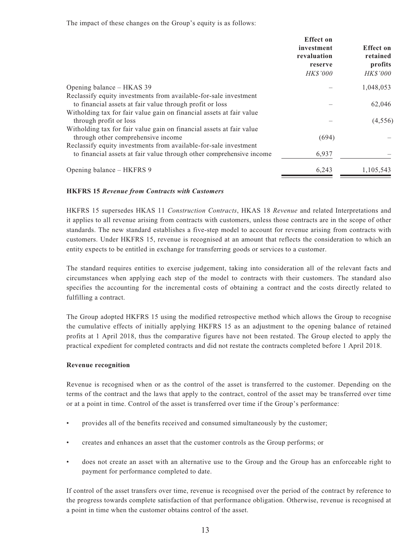The impact of these changes on the Group's equity is as follows:

|                                                                                                                                                                                                      | <b>Effect</b> on<br>investment<br>revaluation<br>reserve<br><b>HK\$'000</b> | <b>Effect on</b><br>retained<br>profits<br><b>HK\$'000</b> |
|------------------------------------------------------------------------------------------------------------------------------------------------------------------------------------------------------|-----------------------------------------------------------------------------|------------------------------------------------------------|
| Opening balance – HKAS 39                                                                                                                                                                            |                                                                             | 1,048,053                                                  |
| Reclassify equity investments from available-for-sale investment<br>to financial assets at fair value through profit or loss<br>Witholding tax for fair value gain on financial assets at fair value |                                                                             | 62,046                                                     |
| through profit or loss                                                                                                                                                                               |                                                                             | (4, 556)                                                   |
| Witholding tax for fair value gain on financial assets at fair value<br>through other comprehensive income                                                                                           | (694)                                                                       |                                                            |
| Reclassify equity investments from available-for-sale investment<br>to financial assets at fair value through other comprehensive income                                                             | 6,937                                                                       |                                                            |
| Opening balance – HKFRS 9                                                                                                                                                                            | 6,243                                                                       | 1,105,543                                                  |

#### **HKFRS 15** *Revenue from Contracts with Customers*

HKFRS 15 supersedes HKAS 11 *Construction Contracts*, HKAS 18 *Revenue* and related Interpretations and it applies to all revenue arising from contracts with customers, unless those contracts are in the scope of other standards. The new standard establishes a five-step model to account for revenue arising from contracts with customers. Under HKFRS 15, revenue is recognised at an amount that reflects the consideration to which an entity expects to be entitled in exchange for transferring goods or services to a customer.

The standard requires entities to exercise judgement, taking into consideration all of the relevant facts and circumstances when applying each step of the model to contracts with their customers. The standard also specifies the accounting for the incremental costs of obtaining a contract and the costs directly related to fulfilling a contract.

The Group adopted HKFRS 15 using the modified retrospective method which allows the Group to recognise the cumulative effects of initially applying HKFRS 15 as an adjustment to the opening balance of retained profits at 1 April 2018, thus the comparative figures have not been restated. The Group elected to apply the practical expedient for completed contracts and did not restate the contracts completed before 1 April 2018.

#### **Revenue recognition**

Revenue is recognised when or as the control of the asset is transferred to the customer. Depending on the terms of the contract and the laws that apply to the contract, control of the asset may be transferred over time or at a point in time. Control of the asset is transferred over time if the Group's performance:

- provides all of the benefits received and consumed simultaneously by the customer;
- creates and enhances an asset that the customer controls as the Group performs; or
- does not create an asset with an alternative use to the Group and the Group has an enforceable right to payment for performance completed to date.

If control of the asset transfers over time, revenue is recognised over the period of the contract by reference to the progress towards complete satisfaction of that performance obligation. Otherwise, revenue is recognised at a point in time when the customer obtains control of the asset.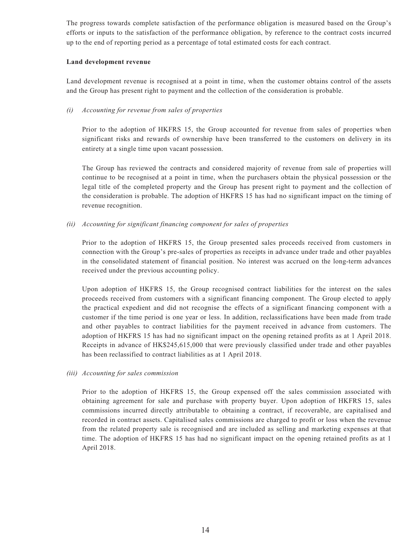The progress towards complete satisfaction of the performance obligation is measured based on the Group's efforts or inputs to the satisfaction of the performance obligation, by reference to the contract costs incurred up to the end of reporting period as a percentage of total estimated costs for each contract.

#### **Land development revenue**

Land development revenue is recognised at a point in time, when the customer obtains control of the assets and the Group has present right to payment and the collection of the consideration is probable.

#### *(i) Accounting for revenue from sales of properties*

Prior to the adoption of HKFRS 15, the Group accounted for revenue from sales of properties when significant risks and rewards of ownership have been transferred to the customers on delivery in its entirety at a single time upon vacant possession.

The Group has reviewed the contracts and considered majority of revenue from sale of properties will continue to be recognised at a point in time, when the purchasers obtain the physical possession or the legal title of the completed property and the Group has present right to payment and the collection of the consideration is probable. The adoption of HKFRS 15 has had no significant impact on the timing of revenue recognition.

#### *(ii) Accounting for significant financing component for sales of properties*

Prior to the adoption of HKFRS 15, the Group presented sales proceeds received from customers in connection with the Group's pre-sales of properties as receipts in advance under trade and other payables in the consolidated statement of financial position. No interest was accrued on the long-term advances received under the previous accounting policy.

Upon adoption of HKFRS 15, the Group recognised contract liabilities for the interest on the sales proceeds received from customers with a significant financing component. The Group elected to apply the practical expedient and did not recognise the effects of a significant financing component with a customer if the time period is one year or less. In addition, reclassifications have been made from trade and other payables to contract liabilities for the payment received in advance from customers. The adoption of HKFRS 15 has had no significant impact on the opening retained profits as at 1 April 2018. Receipts in advance of HK\$245,615,000 that were previously classified under trade and other payables has been reclassified to contract liabilities as at 1 April 2018.

*(iii) Accounting for sales commission*

Prior to the adoption of HKFRS 15, the Group expensed off the sales commission associated with obtaining agreement for sale and purchase with property buyer. Upon adoption of HKFRS 15, sales commissions incurred directly attributable to obtaining a contract, if recoverable, are capitalised and recorded in contract assets. Capitalised sales commissions are charged to profit or loss when the revenue from the related property sale is recognised and are included as selling and marketing expenses at that time. The adoption of HKFRS 15 has had no significant impact on the opening retained profits as at 1 April 2018.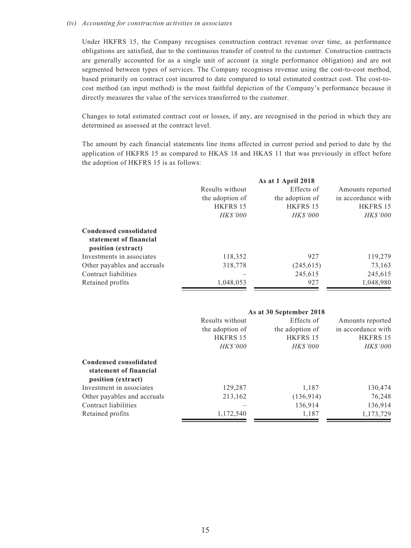#### *(iv) Accounting for construction activities in associates*

Under HKFRS 15, the Company recognises construction contract revenue over time, as performance obligations are satisfied, due to the continuous transfer of control to the customer. Construction contracts are generally accounted for as a single unit of account (a single performance obligation) and are not segmented between types of services. The Company recognises revenue using the cost-to-cost method, based primarily on contract cost incurred to date compared to total estimated contract cost. The cost-tocost method (an input method) is the most faithful depiction of the Company's performance because it directly measures the value of the services transferred to the customer.

Changes to total estimated contract cost or losses, if any, are recognised in the period in which they are determined as assessed at the contract level.

The amount by each financial statements line items affected in current period and period to date by the application of HKFRS 15 as compared to HKAS 18 and HKAS 11 that was previously in effect before the adoption of HKFRS 15 is as follows:

|                                                                        |                 | As at 1 April 2018 |                    |
|------------------------------------------------------------------------|-----------------|--------------------|--------------------|
|                                                                        | Results without | Effects of         | Amounts reported   |
|                                                                        | the adoption of | the adoption of    | in accordance with |
|                                                                        | HKFRS 15        | <b>HKFRS 15</b>    | HKFRS 15           |
|                                                                        | <b>HKS'000</b>  | <b>HK\$'000</b>    | <b>HK\$'000</b>    |
| Condensed consolidated<br>statement of financial<br>position (extract) |                 |                    |                    |
| Investments in associates                                              | 118,352         | 927                | 119,279            |
| Other payables and accruals                                            | 318,778         | (245, 615)         | 73,163             |
| Contract liabilities                                                   |                 | 245,615            | 245,615            |
| Retained profits                                                       | 1,048,053       | 927                | 1,048,980          |

|                                                  |                 | As at 30 September 2018 |                    |
|--------------------------------------------------|-----------------|-------------------------|--------------------|
|                                                  | Results without | Effects of              | Amounts reported   |
|                                                  | the adoption of | the adoption of         | in accordance with |
|                                                  | <b>HKFRS 15</b> | HKFRS 15                | HKFRS 15           |
|                                                  | <b>HK\$'000</b> | <b>HK\$'000</b>         | <i>HK\$'000</i>    |
| Condensed consolidated<br>statement of financial |                 |                         |                    |
| position (extract)                               |                 |                         |                    |
| Investment in associates                         | 129,287         | 1,187                   | 130,474            |
| Other payables and accruals                      | 213,162         | (136, 914)              | 76,248             |
| Contract liabilities                             |                 | 136,914                 | 136,914            |
| Retained profits                                 | 1,172,540       | 1,187                   | 1,173,729          |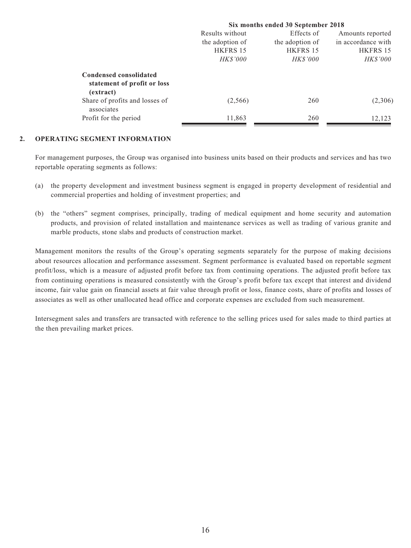| Results without | Effects of      | Amounts reported                   |
|-----------------|-----------------|------------------------------------|
| the adoption of | the adoption of | in accordance with                 |
| HKFRS 15        | HKFRS 15        | HKFRS 15                           |
| <b>HK\$'000</b> | <b>HK\$'000</b> | <i>HK\$'000</i>                    |
|                 |                 |                                    |
| (2,566)         | 260             | (2,306)                            |
| 11,863          | 260             | 12,123                             |
|                 |                 | Six months ended 30 September 2018 |

#### **2. OPERATING SEGMENT INFORMATION**

For management purposes, the Group was organised into business units based on their products and services and has two reportable operating segments as follows:

- (a) the property development and investment business segment is engaged in property development of residential and commercial properties and holding of investment properties; and
- (b) the "others" segment comprises, principally, trading of medical equipment and home security and automation products, and provision of related installation and maintenance services as well as trading of various granite and marble products, stone slabs and products of construction market.

Management monitors the results of the Group's operating segments separately for the purpose of making decisions about resources allocation and performance assessment. Segment performance is evaluated based on reportable segment profit/loss, which is a measure of adjusted profit before tax from continuing operations. The adjusted profit before tax from continuing operations is measured consistently with the Group's profit before tax except that interest and dividend income, fair value gain on financial assets at fair value through profit or loss, finance costs, share of profits and losses of associates as well as other unallocated head office and corporate expenses are excluded from such measurement.

Intersegment sales and transfers are transacted with reference to the selling prices used for sales made to third parties at the then prevailing market prices.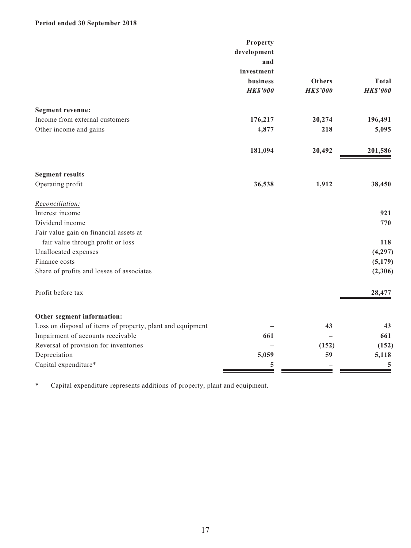## **Period ended 30 September 2018**

| development<br>and<br>investment<br><b>Others</b><br>business<br><b>HK\$'000</b><br><b>HK\$'000</b><br><b>Segment revenue:</b><br>Income from external customers<br>20,274<br>176,217<br>196,491<br>Other income and gains<br>4,877<br>5,095<br>218<br>181,094<br>20,492<br><b>Segment results</b><br>Operating profit<br>36,538<br>1,912<br>Reconciliation:<br>Interest income<br>Dividend income<br>Fair value gain on financial assets at<br>fair value through profit or loss<br>Unallocated expenses<br>Finance costs<br>Share of profits and losses of associates<br>Profit before tax<br>Other segment information:<br>Loss on disposal of items of property, plant and equipment<br>43<br>Impairment of accounts receivable<br>661<br>Reversal of provision for inventories<br>(152)<br>Depreciation<br>5,059<br>59 |                      | Property |                 |
|-----------------------------------------------------------------------------------------------------------------------------------------------------------------------------------------------------------------------------------------------------------------------------------------------------------------------------------------------------------------------------------------------------------------------------------------------------------------------------------------------------------------------------------------------------------------------------------------------------------------------------------------------------------------------------------------------------------------------------------------------------------------------------------------------------------------------------|----------------------|----------|-----------------|
|                                                                                                                                                                                                                                                                                                                                                                                                                                                                                                                                                                                                                                                                                                                                                                                                                             |                      |          |                 |
|                                                                                                                                                                                                                                                                                                                                                                                                                                                                                                                                                                                                                                                                                                                                                                                                                             |                      |          |                 |
|                                                                                                                                                                                                                                                                                                                                                                                                                                                                                                                                                                                                                                                                                                                                                                                                                             |                      |          |                 |
|                                                                                                                                                                                                                                                                                                                                                                                                                                                                                                                                                                                                                                                                                                                                                                                                                             |                      |          | <b>Total</b>    |
|                                                                                                                                                                                                                                                                                                                                                                                                                                                                                                                                                                                                                                                                                                                                                                                                                             |                      |          | <b>HK\$'000</b> |
|                                                                                                                                                                                                                                                                                                                                                                                                                                                                                                                                                                                                                                                                                                                                                                                                                             |                      |          |                 |
|                                                                                                                                                                                                                                                                                                                                                                                                                                                                                                                                                                                                                                                                                                                                                                                                                             |                      |          |                 |
|                                                                                                                                                                                                                                                                                                                                                                                                                                                                                                                                                                                                                                                                                                                                                                                                                             |                      |          |                 |
|                                                                                                                                                                                                                                                                                                                                                                                                                                                                                                                                                                                                                                                                                                                                                                                                                             |                      |          |                 |
|                                                                                                                                                                                                                                                                                                                                                                                                                                                                                                                                                                                                                                                                                                                                                                                                                             |                      |          | 201,586         |
|                                                                                                                                                                                                                                                                                                                                                                                                                                                                                                                                                                                                                                                                                                                                                                                                                             |                      |          |                 |
|                                                                                                                                                                                                                                                                                                                                                                                                                                                                                                                                                                                                                                                                                                                                                                                                                             |                      |          | 38,450          |
|                                                                                                                                                                                                                                                                                                                                                                                                                                                                                                                                                                                                                                                                                                                                                                                                                             |                      |          |                 |
|                                                                                                                                                                                                                                                                                                                                                                                                                                                                                                                                                                                                                                                                                                                                                                                                                             |                      |          | 921             |
|                                                                                                                                                                                                                                                                                                                                                                                                                                                                                                                                                                                                                                                                                                                                                                                                                             |                      |          | 770             |
|                                                                                                                                                                                                                                                                                                                                                                                                                                                                                                                                                                                                                                                                                                                                                                                                                             |                      |          |                 |
|                                                                                                                                                                                                                                                                                                                                                                                                                                                                                                                                                                                                                                                                                                                                                                                                                             |                      |          | 118             |
|                                                                                                                                                                                                                                                                                                                                                                                                                                                                                                                                                                                                                                                                                                                                                                                                                             |                      |          | (4,297)         |
|                                                                                                                                                                                                                                                                                                                                                                                                                                                                                                                                                                                                                                                                                                                                                                                                                             |                      |          | (5,179)         |
|                                                                                                                                                                                                                                                                                                                                                                                                                                                                                                                                                                                                                                                                                                                                                                                                                             |                      |          | (2,306)         |
|                                                                                                                                                                                                                                                                                                                                                                                                                                                                                                                                                                                                                                                                                                                                                                                                                             |                      |          | 28,477          |
|                                                                                                                                                                                                                                                                                                                                                                                                                                                                                                                                                                                                                                                                                                                                                                                                                             |                      |          |                 |
|                                                                                                                                                                                                                                                                                                                                                                                                                                                                                                                                                                                                                                                                                                                                                                                                                             |                      |          | 43              |
|                                                                                                                                                                                                                                                                                                                                                                                                                                                                                                                                                                                                                                                                                                                                                                                                                             |                      |          | 661             |
|                                                                                                                                                                                                                                                                                                                                                                                                                                                                                                                                                                                                                                                                                                                                                                                                                             |                      |          | (152)           |
|                                                                                                                                                                                                                                                                                                                                                                                                                                                                                                                                                                                                                                                                                                                                                                                                                             |                      |          | 5,118           |
|                                                                                                                                                                                                                                                                                                                                                                                                                                                                                                                                                                                                                                                                                                                                                                                                                             | Capital expenditure* | 5        | 5               |

\* Capital expenditure represents additions of property, plant and equipment.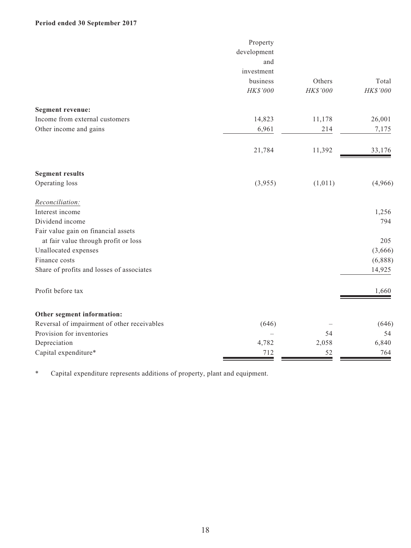## **Period ended 30 September 2017**

|                                             | Property    |          |          |
|---------------------------------------------|-------------|----------|----------|
|                                             | development |          |          |
|                                             | and         |          |          |
|                                             | investment  |          |          |
|                                             | business    | Others   | Total    |
|                                             | HK\$'000    | HK\$'000 | HK\$'000 |
| <b>Segment revenue:</b>                     |             |          |          |
| Income from external customers              | 14,823      | 11,178   | 26,001   |
| Other income and gains                      | 6,961       | 214      | 7,175    |
|                                             | 21,784      | 11,392   | 33,176   |
| <b>Segment results</b>                      |             |          |          |
| Operating loss                              | (3,955)     | (1,011)  | (4,966)  |
| Reconciliation:                             |             |          |          |
| Interest income                             |             |          | 1,256    |
| Dividend income                             |             |          | 794      |
| Fair value gain on financial assets         |             |          |          |
| at fair value through profit or loss        |             |          | 205      |
| Unallocated expenses                        |             |          | (3,666)  |
| Finance costs                               |             |          | (6,888)  |
| Share of profits and losses of associates   |             |          | 14,925   |
| Profit before tax                           |             |          | 1,660    |
| Other segment information:                  |             |          |          |
| Reversal of impairment of other receivables | (646)       |          | (646)    |
| Provision for inventories                   |             | 54       | 54       |
| Depreciation                                | 4,782       | 2,058    | 6,840    |
| Capital expenditure*                        | 712         | 52       | 764      |

\* Capital expenditure represents additions of property, plant and equipment.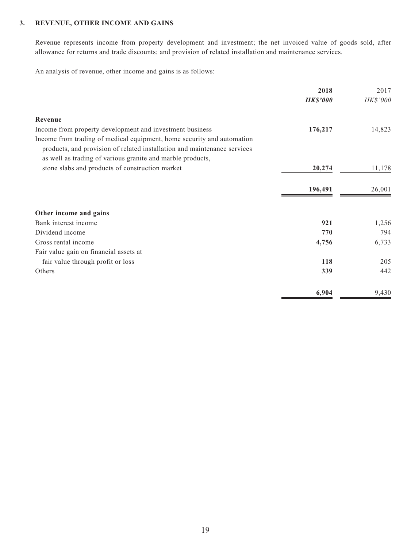#### **3. REVENUE, OTHER INCOME AND GAINS**

Revenue represents income from property development and investment; the net invoiced value of goods sold, after allowance for returns and trade discounts; and provision of related installation and maintenance services.

An analysis of revenue, other income and gains is as follows:

|                                                                          | 2018            | 2017     |
|--------------------------------------------------------------------------|-----------------|----------|
|                                                                          | <b>HK\$'000</b> | HK\$'000 |
| Revenue                                                                  |                 |          |
| Income from property development and investment business                 | 176,217         | 14,823   |
| Income from trading of medical equipment, home security and automation   |                 |          |
| products, and provision of related installation and maintenance services |                 |          |
| as well as trading of various granite and marble products,               |                 |          |
| stone slabs and products of construction market                          | 20,274          | 11,178   |
|                                                                          |                 |          |
|                                                                          | 196,491         | 26,001   |
|                                                                          |                 |          |
| Other income and gains                                                   |                 |          |
| Bank interest income                                                     | 921             | 1,256    |
| Dividend income                                                          | 770             | 794      |
| Gross rental income                                                      | 4,756           | 6,733    |
| Fair value gain on financial assets at                                   |                 |          |
| fair value through profit or loss                                        | 118             | 205      |
| Others                                                                   | 339             | 442      |
|                                                                          |                 |          |
|                                                                          | 6,904           | 9,430    |
|                                                                          |                 |          |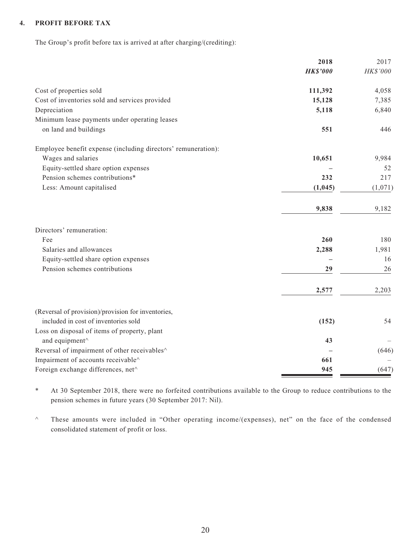#### **4. PROFIT BEFORE TAX**

The Group's profit before tax is arrived at after charging/(crediting):

|                                                               | 2018            | 2017     |
|---------------------------------------------------------------|-----------------|----------|
|                                                               | <b>HK\$'000</b> | HK\$'000 |
| Cost of properties sold                                       | 111,392         | 4,058    |
| Cost of inventories sold and services provided                | 15,128          | 7,385    |
| Depreciation                                                  | 5,118           | 6,840    |
| Minimum lease payments under operating leases                 |                 |          |
| on land and buildings                                         | 551             | 446      |
| Employee benefit expense (including directors' remuneration): |                 |          |
| Wages and salaries                                            | 10,651          | 9,984    |
| Equity-settled share option expenses                          |                 | 52       |
| Pension schemes contributions*                                | 232             | 217      |
| Less: Amount capitalised                                      | (1,045)         | (1,071)  |
|                                                               | 9,838           | 9,182    |
| Directors' remuneration:                                      |                 |          |
| Fee                                                           | 260             | 180      |
| Salaries and allowances                                       | 2,288           | 1,981    |
| Equity-settled share option expenses                          |                 | 16       |
| Pension schemes contributions                                 | 29              | 26       |
|                                                               | 2,577           | 2,203    |
| (Reversal of provision)/provision for inventories,            |                 |          |
| included in cost of inventories sold                          | (152)           | 54       |
| Loss on disposal of items of property, plant                  |                 |          |
| and equipment^                                                | 43              |          |
| Reversal of impairment of other receivables^                  |                 | (646)    |
| Impairment of accounts receivable^                            | 661             |          |
| Foreign exchange differences, net^                            | 945             | (647)    |

\* At 30 September 2018, there were no forfeited contributions available to the Group to reduce contributions to the pension schemes in future years (30 September 2017: Nil).

^ These amounts were included in "Other operating income/(expenses), net" on the face of the condensed consolidated statement of profit or loss.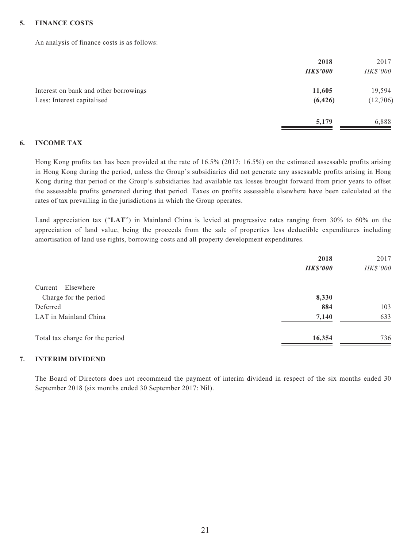#### **5. FINANCE COSTS**

An analysis of finance costs is as follows:

|                                       | 2018            | 2017            |
|---------------------------------------|-----------------|-----------------|
|                                       | <b>HK\$'000</b> | <b>HK\$'000</b> |
| Interest on bank and other borrowings | 11,605          | 19,594          |
| Less: Interest capitalised            | (6, 426)        | (12,706)        |
|                                       | 5,179           | 6,888           |

#### **6. INCOME TAX**

Hong Kong profits tax has been provided at the rate of 16.5% (2017: 16.5%) on the estimated assessable profits arising in Hong Kong during the period, unless the Group's subsidiaries did not generate any assessable profits arising in Hong Kong during that period or the Group's subsidiaries had available tax losses brought forward from prior years to offset the assessable profits generated during that period. Taxes on profits assessable elsewhere have been calculated at the rates of tax prevailing in the jurisdictions in which the Group operates.

Land appreciation tax ("**LAT**") in Mainland China is levied at progressive rates ranging from 30% to 60% on the appreciation of land value, being the proceeds from the sale of properties less deductible expenditures including amortisation of land use rights, borrowing costs and all property development expenditures.

|                                 | 2018<br><b>HK\$'000</b> | 2017<br>HK\$'000 |
|---------------------------------|-------------------------|------------------|
| $Current - Elsewhere$           |                         |                  |
| Charge for the period           | 8,330                   |                  |
| Deferred                        | 884                     | 103              |
| LAT in Mainland China           | 7,140                   | 633              |
| Total tax charge for the period | 16,354                  | 736              |

#### **7. INTERIM DIVIDEND**

The Board of Directors does not recommend the payment of interim dividend in respect of the six months ended 30 September 2018 (six months ended 30 September 2017: Nil).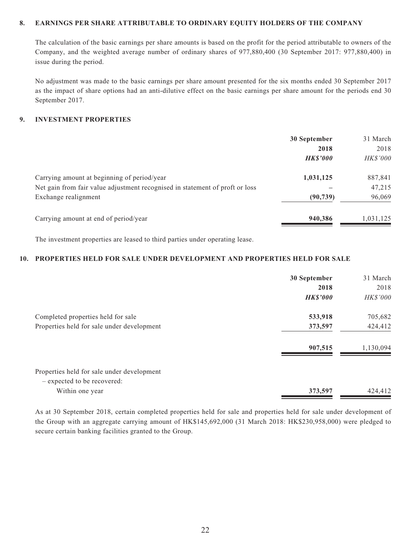#### **8. EARNINGS PER SHARE ATTRIBUTABLE TO ORDINARY EQUITY HOLDERS OF THE COMPANY**

The calculation of the basic earnings per share amounts is based on the profit for the period attributable to owners of the Company, and the weighted average number of ordinary shares of 977,880,400 (30 September 2017: 977,880,400) in issue during the period.

No adjustment was made to the basic earnings per share amount presented for the six months ended 30 September 2017 as the impact of share options had an anti-dilutive effect on the basic earnings per share amount for the periods end 30 September 2017.

#### **9. INVESTMENT PROPERTIES**

|                                                                              | 30 September   | 31 March        |
|------------------------------------------------------------------------------|----------------|-----------------|
|                                                                              | 2018           | 2018            |
|                                                                              | <b>HKS'000</b> | <b>HK\$'000</b> |
| Carrying amount at beginning of period/year                                  | 1,031,125      | 887,841         |
| Net gain from fair value adjustment recognised in statement of proft or loss |                | 47,215          |
| Exchange realignment                                                         | (90, 739)      | 96,069          |
| Carrying amount at end of period/year                                        | 940,386        | 1,031,125       |

The investment properties are leased to third parties under operating lease.

#### **10. PROPERTIES HELD FOR SALE UNDER DEVELOPMENT AND PROPERTIES HELD FOR SALE**

|                                            | 30 September    | 31 March  |
|--------------------------------------------|-----------------|-----------|
|                                            | 2018            | 2018      |
|                                            | <b>HK\$'000</b> | HK\$'000  |
| Completed properties held for sale         | 533,918         | 705,682   |
| Properties held for sale under development | 373,597         | 424,412   |
|                                            | 907,515         | 1,130,094 |
| Properties held for sale under development |                 |           |
| - expected to be recovered:                |                 |           |
| Within one year                            | 373,597         | 424,412   |

As at 30 September 2018, certain completed properties held for sale and properties held for sale under development of the Group with an aggregate carrying amount of HK\$145,692,000 (31 March 2018: HK\$230,958,000) were pledged to secure certain banking facilities granted to the Group.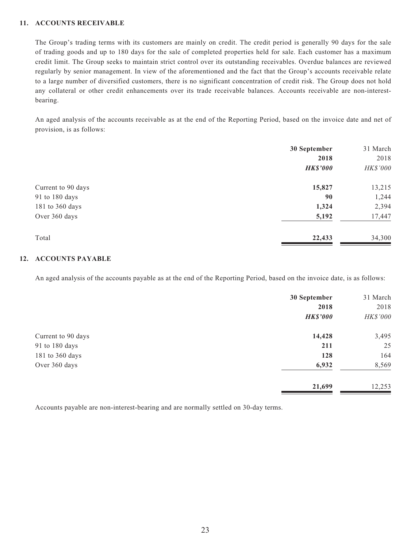#### **11. ACCOUNTS RECEIVABLE**

The Group's trading terms with its customers are mainly on credit. The credit period is generally 90 days for the sale of trading goods and up to 180 days for the sale of completed properties held for sale. Each customer has a maximum credit limit. The Group seeks to maintain strict control over its outstanding receivables. Overdue balances are reviewed regularly by senior management. In view of the aforementioned and the fact that the Group's accounts receivable relate to a large number of diversified customers, there is no significant concentration of credit risk. The Group does not hold any collateral or other credit enhancements over its trade receivable balances. Accounts receivable are non-interestbearing.

An aged analysis of the accounts receivable as at the end of the Reporting Period, based on the invoice date and net of provision, is as follows:

|                    | 30 September    | 31 March |
|--------------------|-----------------|----------|
|                    | 2018            | 2018     |
|                    | <b>HK\$'000</b> | HK\$'000 |
| Current to 90 days | 15,827          | 13,215   |
| 91 to 180 days     | 90              | 1,244    |
| 181 to 360 days    | 1,324           | 2,394    |
| Over 360 days      | 5,192           | 17,447   |
| Total              | 22,433          | 34,300   |

#### **12. ACCOUNTS PAYABLE**

An aged analysis of the accounts payable as at the end of the Reporting Period, based on the invoice date, is as follows:

|                    | 30 September    | 31 March |
|--------------------|-----------------|----------|
|                    | 2018            | 2018     |
|                    | <b>HK\$'000</b> | HK\$'000 |
| Current to 90 days | 14,428          | 3,495    |
| 91 to 180 days     | 211             | 25       |
| 181 to 360 days    | 128             | 164      |
| Over 360 days      | 6,932           | 8,569    |
|                    | 21,699          | 12,253   |

Accounts payable are non-interest-bearing and are normally settled on 30-day terms.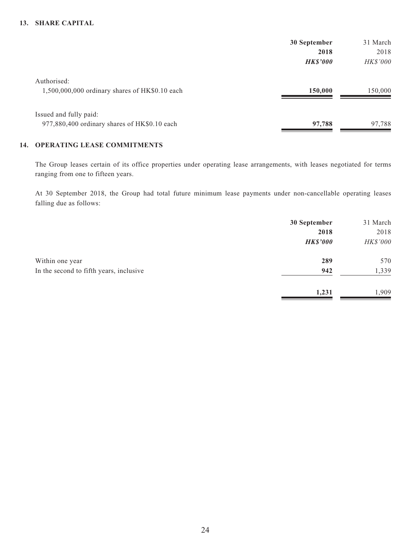#### **13. SHARE CAPITAL**

|                                                | 30 September    | 31 March        |
|------------------------------------------------|-----------------|-----------------|
|                                                | 2018            | 2018            |
|                                                | <b>HK\$'000</b> | <b>HK\$'000</b> |
| Authorised:                                    |                 |                 |
| 1,500,000,000 ordinary shares of HK\$0.10 each | 150,000         | 150,000         |
| Issued and fully paid:                         |                 |                 |
| 977,880,400 ordinary shares of HK\$0.10 each   | 97,788          | 97,788          |

#### **14. OPERATING LEASE COMMITMENTS**

The Group leases certain of its office properties under operating lease arrangements, with leases negotiated for terms ranging from one to fifteen years.

At 30 September 2018, the Group had total future minimum lease payments under non-cancellable operating leases falling due as follows:

|                                         | 30 September    | 31 March |
|-----------------------------------------|-----------------|----------|
|                                         | 2018            | 2018     |
|                                         | <b>HK\$'000</b> | HK\$'000 |
| Within one year                         | 289             | 570      |
| In the second to fifth years, inclusive | 942             | 1,339    |
|                                         | 1,231           | ,909     |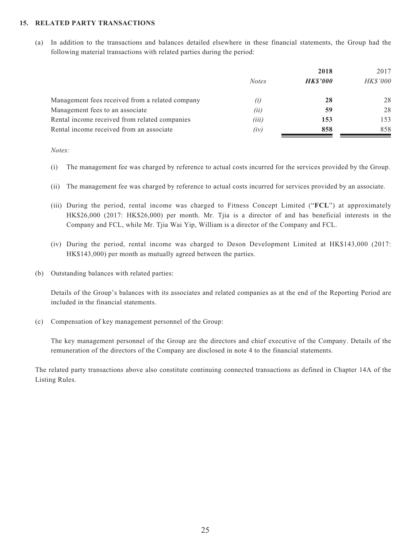#### **15. RELATED PARTY TRANSACTIONS**

(a) In addition to the transactions and balances detailed elsewhere in these financial statements, the Group had the following material transactions with related parties during the period:

|                                                 |              | 2018           | 2017            |  |
|-------------------------------------------------|--------------|----------------|-----------------|--|
|                                                 | <b>Notes</b> | <b>HKS'000</b> | <b>HK\$'000</b> |  |
| Management fees received from a related company | (i)          | 28             | 28              |  |
| Management fees to an associate                 | (ii)         | 59             | 28              |  |
| Rental income received from related companies   | (iii)        | 153            | 153             |  |
| Rental income received from an associate        | (iv)         | 858            | 858             |  |

*Notes:*

- (i) The management fee was charged by reference to actual costs incurred for the services provided by the Group.
- (ii) The management fee was charged by reference to actual costs incurred for services provided by an associate.
- (iii) During the period, rental income was charged to Fitness Concept Limited ("**FCL**") at approximately HK\$26,000 (2017: HK\$26,000) per month. Mr. Tjia is a director of and has beneficial interests in the Company and FCL, while Mr. Tjia Wai Yip, William is a director of the Company and FCL.
- (iv) During the period, rental income was charged to Deson Development Limited at HK\$143,000 (2017: HK\$143,000) per month as mutually agreed between the parties.
- (b) Outstanding balances with related parties:

Details of the Group's balances with its associates and related companies as at the end of the Reporting Period are included in the financial statements.

(c) Compensation of key management personnel of the Group:

The key management personnel of the Group are the directors and chief executive of the Company. Details of the remuneration of the directors of the Company are disclosed in note 4 to the financial statements.

The related party transactions above also constitute continuing connected transactions as defined in Chapter 14A of the Listing Rules.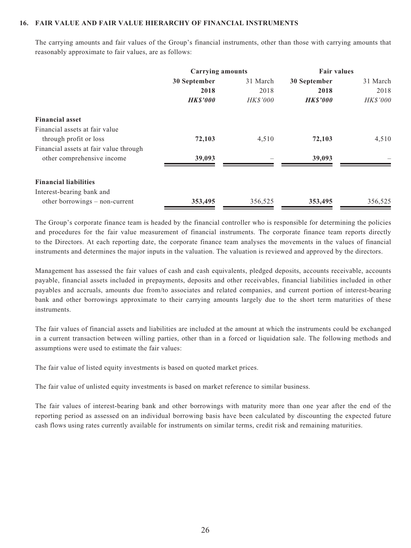#### **16. FAIR VALUE AND FAIR VALUE HIERARCHY OF FINANCIAL INSTRUMENTS**

The carrying amounts and fair values of the Group's financial instruments, other than those with carrying amounts that reasonably approximate to fair values, are as follows:

|                                        | <b>Carrying amounts</b> |                 | <b>Fair values</b> |          |
|----------------------------------------|-------------------------|-----------------|--------------------|----------|
|                                        | 30 September            | 31 March        | 30 September       | 31 March |
|                                        | 2018                    | 2018            | 2018               | 2018     |
|                                        | <b>HK\$'000</b>         | <b>HK\$'000</b> | <b>HKS'000</b>     | HK\$'000 |
| <b>Financial asset</b>                 |                         |                 |                    |          |
| Financial assets at fair value         |                         |                 |                    |          |
| through profit or loss                 | 72,103                  | 4,510           | 72,103             | 4,510    |
| Financial assets at fair value through |                         |                 |                    |          |
| other comprehensive income             | 39,093                  |                 | 39,093             |          |
| <b>Financial liabilities</b>           |                         |                 |                    |          |
| Interest-bearing bank and              |                         |                 |                    |          |
| other borrowings – non-current         | 353,495                 | 356,525         | 353,495            | 356,525  |

The Group's corporate finance team is headed by the financial controller who is responsible for determining the policies and procedures for the fair value measurement of financial instruments. The corporate finance team reports directly to the Directors. At each reporting date, the corporate finance team analyses the movements in the values of financial instruments and determines the major inputs in the valuation. The valuation is reviewed and approved by the directors.

Management has assessed the fair values of cash and cash equivalents, pledged deposits, accounts receivable, accounts payable, financial assets included in prepayments, deposits and other receivables, financial liabilities included in other payables and accruals, amounts due from/to associates and related companies, and current portion of interest-bearing bank and other borrowings approximate to their carrying amounts largely due to the short term maturities of these instruments.

The fair values of financial assets and liabilities are included at the amount at which the instruments could be exchanged in a current transaction between willing parties, other than in a forced or liquidation sale. The following methods and assumptions were used to estimate the fair values:

The fair value of listed equity investments is based on quoted market prices.

The fair value of unlisted equity investments is based on market reference to similar business.

The fair values of interest-bearing bank and other borrowings with maturity more than one year after the end of the reporting period as assessed on an individual borrowing basis have been calculated by discounting the expected future cash flows using rates currently available for instruments on similar terms, credit risk and remaining maturities.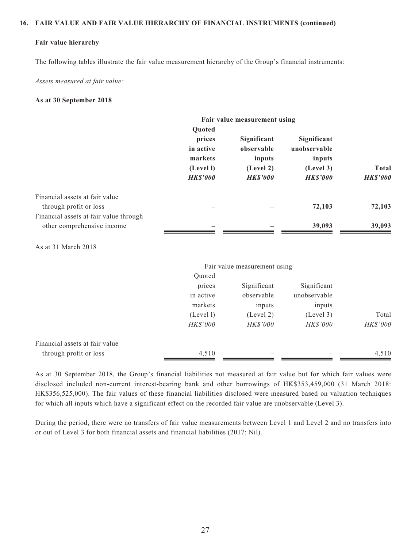#### **16. FAIR VALUE AND FAIR VALUE HIERARCHY OF FINANCIAL INSTRUMENTS (continued)**

#### **Fair value hierarchy**

The following tables illustrate the fair value measurement hierarchy of the Group's financial instruments:

*Assets measured at fair value:*

#### **As at 30 September 2018**

|                                                                      | Fair value measurement using                                                    |                                                                     |                                                                      |                                 |
|----------------------------------------------------------------------|---------------------------------------------------------------------------------|---------------------------------------------------------------------|----------------------------------------------------------------------|---------------------------------|
|                                                                      | <b>Ouoted</b><br>prices<br>in active<br>markets<br>(Level I)<br><b>HK\$'000</b> | Significant<br>observable<br>inputs<br>(Level 2)<br><b>HK\$'000</b> | Significant<br>unobservable<br>inputs<br>(Level 3)<br><b>HKS'000</b> | <b>Total</b><br><b>HK\$'000</b> |
| Financial assets at fair value<br>through profit or loss             |                                                                                 |                                                                     | 72,103                                                               | 72,103                          |
| Financial assets at fair value through<br>other comprehensive income |                                                                                 |                                                                     | 39,093                                                               | 39,093                          |

As at 31 March 2018

|                                | Fair value measurement using |                 |                 |                 |
|--------------------------------|------------------------------|-----------------|-----------------|-----------------|
|                                | Quoted                       |                 |                 |                 |
|                                | prices                       | Significant     | Significant     |                 |
|                                | in active                    | observable      | unobservable    |                 |
|                                | markets                      | inputs          | inputs          |                 |
|                                | (Level 1)                    | (Level 2)       | (Level 3)       | Total           |
|                                | HK\$'000                     | <i>HK\$'000</i> | <b>HK\$'000</b> | <b>HK\$'000</b> |
| Financial assets at fair value |                              |                 |                 |                 |
| through profit or loss         | 4,510                        |                 |                 | 4,510           |

As at 30 September 2018, the Group's financial liabilities not measured at fair value but for which fair values were disclosed included non-current interest-bearing bank and other borrowings of HK\$353,459,000 (31 March 2018: HK\$356,525,000). The fair values of these financial liabilities disclosed were measured based on valuation techniques for which all inputs which have a significant effect on the recorded fair value are unobservable (Level 3).

During the period, there were no transfers of fair value measurements between Level 1 and Level 2 and no transfers into or out of Level 3 for both financial assets and financial liabilities (2017: Nil).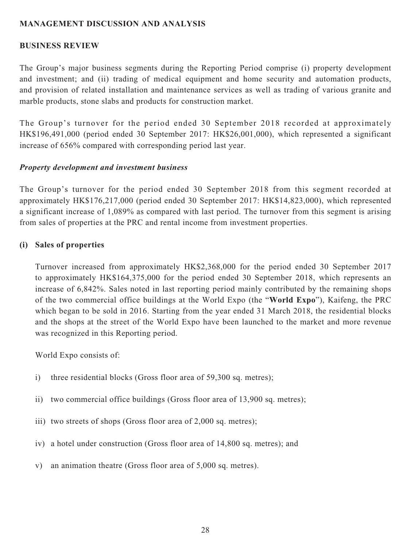## **MANAGEMENT DISCUSSION AND ANALYSIS**

## **BUSINESS REVIEW**

The Group's major business segments during the Reporting Period comprise (i) property development and investment; and (ii) trading of medical equipment and home security and automation products, and provision of related installation and maintenance services as well as trading of various granite and marble products, stone slabs and products for construction market.

The Group's turnover for the period ended 30 September 2018 recorded at approximately HK\$196,491,000 (period ended 30 September 2017: HK\$26,001,000), which represented a significant increase of 656% compared with corresponding period last year.

## *Property development and investment business*

The Group's turnover for the period ended 30 September 2018 from this segment recorded at approximately HK\$176,217,000 (period ended 30 September 2017: HK\$14,823,000), which represented a significant increase of 1,089% as compared with last period. The turnover from this segment is arising from sales of properties at the PRC and rental income from investment properties.

## **(i) Sales of properties**

Turnover increased from approximately HK\$2,368,000 for the period ended 30 September 2017 to approximately HK\$164,375,000 for the period ended 30 September 2018, which represents an increase of 6,842%. Sales noted in last reporting period mainly contributed by the remaining shops of the two commercial office buildings at the World Expo (the "**World Expo**"), Kaifeng, the PRC which began to be sold in 2016. Starting from the year ended 31 March 2018, the residential blocks and the shops at the street of the World Expo have been launched to the market and more revenue was recognized in this Reporting period.

World Expo consists of:

- i) three residential blocks (Gross floor area of 59,300 sq. metres);
- ii) two commercial office buildings (Gross floor area of 13,900 sq. metres);
- iii) two streets of shops (Gross floor area of 2,000 sq. metres);
- iv) a hotel under construction (Gross floor area of 14,800 sq. metres); and
- v) an animation theatre (Gross floor area of 5,000 sq. metres).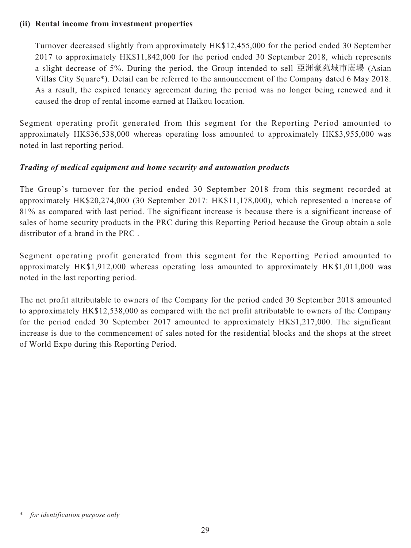## **(ii) Rental income from investment properties**

Turnover decreased slightly from approximately HK\$12,455,000 for the period ended 30 September 2017 to approximately HK\$11,842,000 for the period ended 30 September 2018, which represents a slight decrease of 5%. During the period, the Group intended to sell 亞洲豪苑城市廣場 (Asian Villas City Square\*). Detail can be referred to the announcement of the Company dated 6 May 2018. As a result, the expired tenancy agreement during the period was no longer being renewed and it caused the drop of rental income earned at Haikou location.

Segment operating profit generated from this segment for the Reporting Period amounted to approximately HK\$36,538,000 whereas operating loss amounted to approximately HK\$3,955,000 was noted in last reporting period.

## *Trading of medical equipment and home security and automation products*

The Group's turnover for the period ended 30 September 2018 from this segment recorded at approximately HK\$20,274,000 (30 September 2017: HK\$11,178,000), which represented a increase of 81% as compared with last period. The significant increase is because there is a significant increase of sales of home security products in the PRC during this Reporting Period because the Group obtain a sole distributor of a brand in the PRC .

Segment operating profit generated from this segment for the Reporting Period amounted to approximately HK\$1,912,000 whereas operating loss amounted to approximately HK\$1,011,000 was noted in the last reporting period.

The net profit attributable to owners of the Company for the period ended 30 September 2018 amounted to approximately HK\$12,538,000 as compared with the net profit attributable to owners of the Company for the period ended 30 September 2017 amounted to approximately HK\$1,217,000. The significant increase is due to the commencement of sales noted for the residential blocks and the shops at the street of World Expo during this Reporting Period.

for *identification* purpose only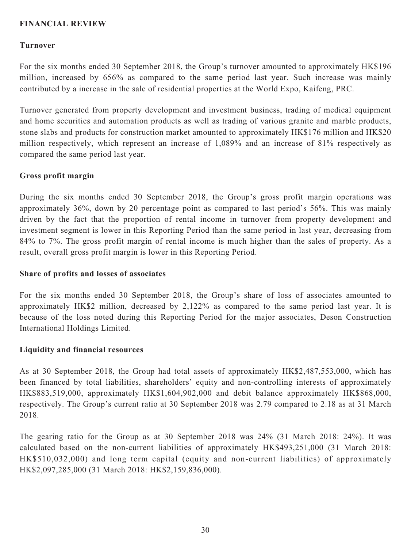## **FINANCIAL REVIEW**

#### **Turnover**

For the six months ended 30 September 2018, the Group's turnover amounted to approximately HK\$196 million, increased by 656% as compared to the same period last year. Such increase was mainly contributed by a increase in the sale of residential properties at the World Expo, Kaifeng, PRC.

Turnover generated from property development and investment business, trading of medical equipment and home securities and automation products as well as trading of various granite and marble products, stone slabs and products for construction market amounted to approximately HK\$176 million and HK\$20 million respectively, which represent an increase of 1,089% and an increase of 81% respectively as compared the same period last year.

#### **Gross profit margin**

During the six months ended 30 September 2018, the Group's gross profit margin operations was approximately 36%, down by 20 percentage point as compared to last period's 56%. This was mainly driven by the fact that the proportion of rental income in turnover from property development and investment segment is lower in this Reporting Period than the same period in last year, decreasing from 84% to 7%. The gross profit margin of rental income is much higher than the sales of property. As a result, overall gross profit margin is lower in this Reporting Period.

#### **Share of profits and losses of associates**

For the six months ended 30 September 2018, the Group's share of loss of associates amounted to approximately HK\$2 million, decreased by 2,122% as compared to the same period last year. It is because of the loss noted during this Reporting Period for the major associates, Deson Construction International Holdings Limited.

## **Liquidity and financial resources**

As at 30 September 2018, the Group had total assets of approximately HK\$2,487,553,000, which has been financed by total liabilities, shareholders' equity and non-controlling interests of approximately HK\$883,519,000, approximately HK\$1,604,902,000 and debit balance approximately HK\$868,000, respectively. The Group's current ratio at 30 September 2018 was 2.79 compared to 2.18 as at 31 March 2018.

The gearing ratio for the Group as at 30 September 2018 was 24% (31 March 2018: 24%). It was calculated based on the non-current liabilities of approximately HK\$493,251,000 (31 March 2018: HK\$510,032,000) and long term capital (equity and non-current liabilities) of approximately HK\$2,097,285,000 (31 March 2018: HK\$2,159,836,000).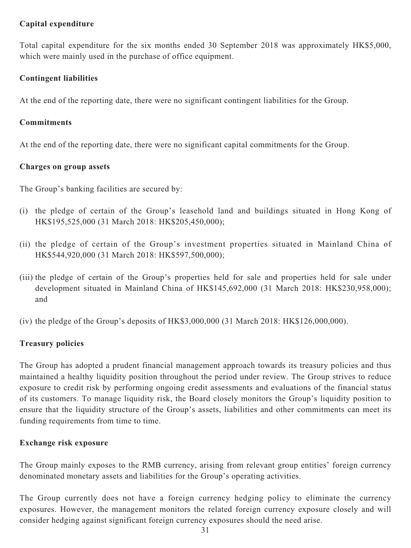## **Capital expenditure**

Total capital expenditure for the six months ended 30 September 2018 was approximately HK\$5,000, which were mainly used in the purchase of office equipment.

## **Contingent liabilities**

At the end of the reporting date, there were no significant contingent liabilities for the Group.

## **Commitments**

At the end of the reporting date, there were no significant capital commitments for the Group.

## **Charges on group assets**

The Group's banking facilities are secured by:

- (i) the pledge of certain of the Group's leasehold land and buildings situated in Hong Kong of HK\$195,525,000 (31 March 2018: HK\$205,450,000);
- (ii) the pledge of certain of the Group's investment properties situated in Mainland China of HK\$544,920,000 (31 March 2018: HK\$597,500,000);
- (iii) the pledge of certain of the Group's properties held for sale and properties held for sale under development situated in Mainland China of HK\$145,692,000 (31 March 2018: HK\$230,958,000); and
- (iv) the pledge of the Group's deposits of HK\$3,000,000 (31 March 2018: HK\$126,000,000).

## **Treasury policies**

The Group has adopted a prudent financial management approach towards its treasury policies and thus maintained a healthy liquidity position throughout the period under review. The Group strives to reduce exposure to credit risk by performing ongoing credit assessments and evaluations of the financial status of its customers. To manage liquidity risk, the Board closely monitors the Group's liquidity position to ensure that the liquidity structure of the Group's assets, liabilities and other commitments can meet its funding requirements from time to time.

## **Exchange risk exposure**

The Group mainly exposes to the RMB currency, arising from relevant group entities' foreign currency denominated monetary assets and liabilities for the Group's operating activities.

The Group currently does not have a foreign currency hedging policy to eliminate the currency exposures. However, the management monitors the related foreign currency exposure closely and will consider hedging against significant foreign currency exposures should the need arise.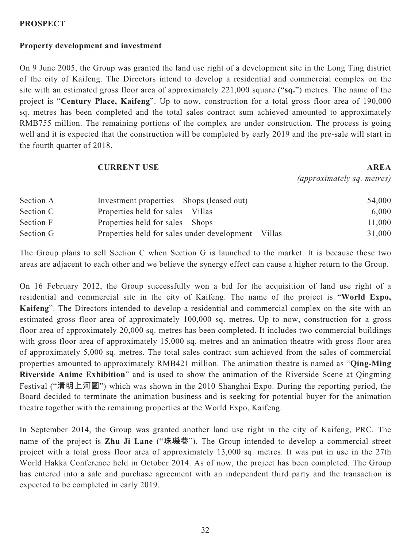## **PROSPECT**

# **Property development and investment**

On 9 June 2005, the Group was granted the land use right of a development site in the Long Ting district of the city of Kaifeng. The Directors intend to develop a residential and commercial complex on the site with an estimated gross floor area of approximately 221,000 square ("**sq.**") metres. The name of the project is "**Century Place, Kaifeng**". Up to now, construction for a total gross floor area of 190,000 sq. metres has been completed and the total sales contract sum achieved amounted to approximately RMB755 million. The remaining portions of the complex are under construction. The process is going well and it is expected that the construction will be completed by early 2019 and the pre-sale will start in the fourth quarter of 2018.

#### **CURRENT USE AREA**

*(approximately sq. metres)*

| Section A | Investment properties – Shops (leased out)           | 54,000 |
|-----------|------------------------------------------------------|--------|
| Section C | Properties held for sales – Villas                   | 6,000  |
| Section F | Properties held for sales – Shops                    | 11,000 |
| Section G | Properties held for sales under development – Villas | 31,000 |

The Group plans to sell Section C when Section G is launched to the market. It is because these two areas are adjacent to each other and we believe the synergy effect can cause a higher return to the Group.

On 16 February 2012, the Group successfully won a bid for the acquisition of land use right of a residential and commercial site in the city of Kaifeng. The name of the project is "**World Expo, Kaifeng**". The Directors intended to develop a residential and commercial complex on the site with an estimated gross floor area of approximately 100,000 sq. metres. Up to now, construction for a gross floor area of approximately 20,000 sq. metres has been completed. It includes two commercial buildings with gross floor area of approximately 15,000 sq. metres and an animation theatre with gross floor area of approximately 5,000 sq. metres. The total sales contract sum achieved from the sales of commercial properties amounted to approximately RMB421 million. The animation theatre is named as "**Qing-Ming Riverside Anime Exhibition**" and is used to show the animation of the Riverside Scene at Qingming Festival ("**清明上河圖**") which was shown in the 2010 Shanghai Expo. During the reporting period, the Board decided to terminate the animation business and is seeking for potential buyer for the animation theatre together with the remaining properties at the World Expo, Kaifeng.

In September 2014, the Group was granted another land use right in the city of Kaifeng, PRC. The name of the project is **Zhu Ji Lane** ("**珠璣巷**"). The Group intended to develop a commercial street project with a total gross floor area of approximately 13,000 sq. metres. It was put in use in the 27th World Hakka Conference held in October 2014. As of now, the project has been completed. The Group has entered into a sale and purchase agreement with an independent third party and the transaction is expected to be completed in early 2019.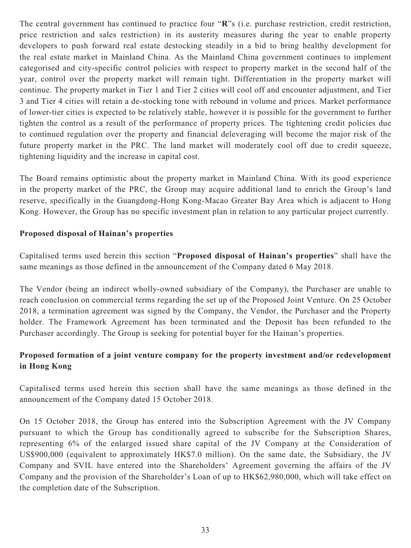The central government has continued to practice four "**R**"s (i.e. purchase restriction, credit restriction, price restriction and sales restriction) in its austerity measures during the year to enable property developers to push forward real estate destocking steadily in a bid to bring healthy development for the real estate market in Mainland China. As the Mainland China government continues to implement categorised and city-specific control policies with respect to property market in the second half of the year, control over the property market will remain tight. Differentiation in the property market will continue. The property market in Tier 1 and Tier 2 cities will cool off and encounter adjustment, and Tier 3 and Tier 4 cities will retain a de-stocking tone with rebound in volume and prices. Market performance of lower-tier cities is expected to be relatively stable, however it is possible for the government to further tighten the control as a result of the performance of property prices. The tightening credit policies due to continued regulation over the property and financial deleveraging will become the major risk of the future property market in the PRC. The land market will moderately cool off due to credit squeeze, tightening liquidity and the increase in capital cost.

The Board remains optimistic about the property market in Mainland China. With its good experience in the property market of the PRC, the Group may acquire additional land to enrich the Group's land reserve, specifically in the Guangdong-Hong Kong-Macao Greater Bay Area which is adjacent to Hong Kong. However, the Group has no specific investment plan in relation to any particular project currently.

## **Proposed disposal of Hainan's properties**

Capitalised terms used herein this section "**Proposed disposal of Hainan's properties**" shall have the same meanings as those defined in the announcement of the Company dated 6 May 2018.

The Vendor (being an indirect wholly-owned subsidiary of the Company), the Purchaser are unable to reach conclusion on commercial terms regarding the set up of the Proposed Joint Venture. On 25 October 2018, a termination agreement was signed by the Company, the Vendor, the Purchaser and the Property holder. The Framework Agreement has been terminated and the Deposit has been refunded to the Purchaser accordingly. The Group is seeking for potential buyer for the Hainan's properties.

# **Proposed formation of a joint venture company for the property investment and/or redevelopment in Hong Kong**

Capitalised terms used herein this section shall have the same meanings as those defined in the announcement of the Company dated 15 October 2018.

On 15 October 2018, the Group has entered into the Subscription Agreement with the JV Company pursuant to which the Group has conditionally agreed to subscribe for the Subscription Shares, representing 6% of the enlarged issued share capital of the JV Company at the Consideration of US\$900,000 (equivalent to approximately HK\$7.0 million). On the same date, the Subsidiary, the JV Company and SVIL have entered into the Shareholders' Agreement governing the affairs of the JV Company and the provision of the Shareholder's Loan of up to HK\$62,980,000, which will take effect on the completion date of the Subscription.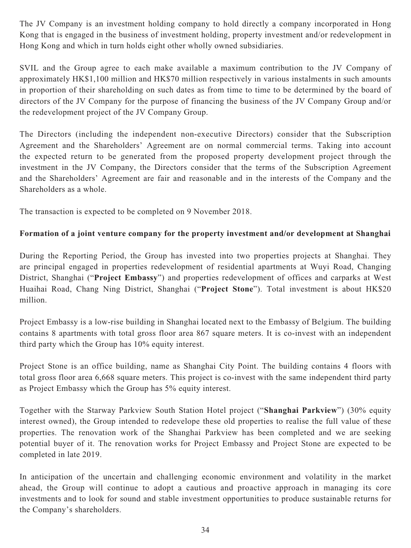The JV Company is an investment holding company to hold directly a company incorporated in Hong Kong that is engaged in the business of investment holding, property investment and/or redevelopment in Hong Kong and which in turn holds eight other wholly owned subsidiaries.

SVIL and the Group agree to each make available a maximum contribution to the JV Company of approximately HK\$1,100 million and HK\$70 million respectively in various instalments in such amounts in proportion of their shareholding on such dates as from time to time to be determined by the board of directors of the JV Company for the purpose of financing the business of the JV Company Group and/or the redevelopment project of the JV Company Group.

The Directors (including the independent non-executive Directors) consider that the Subscription Agreement and the Shareholders' Agreement are on normal commercial terms. Taking into account the expected return to be generated from the proposed property development project through the investment in the JV Company, the Directors consider that the terms of the Subscription Agreement and the Shareholders' Agreement are fair and reasonable and in the interests of the Company and the Shareholders as a whole.

The transaction is expected to be completed on 9 November 2018.

## **Formation of a joint venture company for the property investment and/or development at Shanghai**

During the Reporting Period, the Group has invested into two properties projects at Shanghai. They are principal engaged in properties redevelopment of residential apartments at Wuyi Road, Changing District, Shanghai ("**Project Embassy**") and properties redevelopment of offices and carparks at West Huaihai Road, Chang Ning District, Shanghai ("**Project Stone**"). Total investment is about HK\$20 million.

Project Embassy is a low-rise building in Shanghai located next to the Embassy of Belgium. The building contains 8 apartments with total gross floor area 867 square meters. It is co-invest with an independent third party which the Group has 10% equity interest.

Project Stone is an office building, name as Shanghai City Point. The building contains 4 floors with total gross floor area 6,668 square meters. This project is co-invest with the same independent third party as Project Embassy which the Group has 5% equity interest.

Together with the Starway Parkview South Station Hotel project ("**Shanghai Parkview**") (30% equity interest owned), the Group intended to redevelope these old properties to realise the full value of these properties. The renovation work of the Shanghai Parkview has been completed and we are seeking potential buyer of it. The renovation works for Project Embassy and Project Stone are expected to be completed in late 2019.

In anticipation of the uncertain and challenging economic environment and volatility in the market ahead, the Group will continue to adopt a cautious and proactive approach in managing its core investments and to look for sound and stable investment opportunities to produce sustainable returns for the Company's shareholders.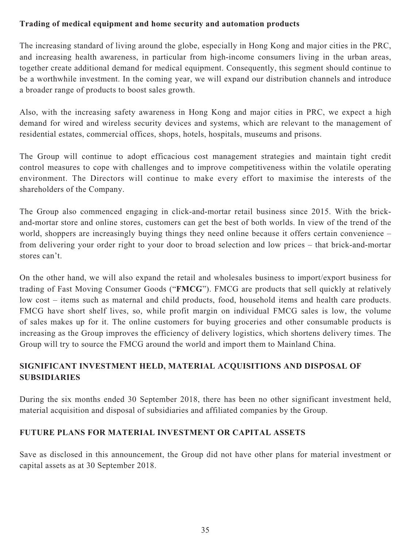## **Trading of medical equipment and home security and automation products**

The increasing standard of living around the globe, especially in Hong Kong and major cities in the PRC, and increasing health awareness, in particular from high-income consumers living in the urban areas, together create additional demand for medical equipment. Consequently, this segment should continue to be a worthwhile investment. In the coming year, we will expand our distribution channels and introduce a broader range of products to boost sales growth.

Also, with the increasing safety awareness in Hong Kong and major cities in PRC, we expect a high demand for wired and wireless security devices and systems, which are relevant to the management of residential estates, commercial offices, shops, hotels, hospitals, museums and prisons.

The Group will continue to adopt efficacious cost management strategies and maintain tight credit control measures to cope with challenges and to improve competitiveness within the volatile operating environment. The Directors will continue to make every effort to maximise the interests of the shareholders of the Company.

The Group also commenced engaging in click-and-mortar retail business since 2015. With the brickand-mortar store and online stores, customers can get the best of both worlds. In view of the trend of the world, shoppers are increasingly buying things they need online because it offers certain convenience – from delivering your order right to your door to broad selection and low prices – that brick-and-mortar stores can't.

On the other hand, we will also expand the retail and wholesales business to import/export business for trading of Fast Moving Consumer Goods ("**FMCG**"). FMCG are products that sell quickly at relatively low cost – items such as maternal and child products, food, household items and health care products. FMCG have short shelf lives, so, while profit margin on individual FMCG sales is low, the volume of sales makes up for it. The online customers for buying groceries and other consumable products is increasing as the Group improves the efficiency of delivery logistics, which shortens delivery times. The Group will try to source the FMCG around the world and import them to Mainland China.

# **SIGNIFICANT INVESTMENT HELD, MATERIAL ACQUISITIONS AND DISPOSAL OF SUBSIDIARIES**

During the six months ended 30 September 2018, there has been no other significant investment held, material acquisition and disposal of subsidiaries and affiliated companies by the Group.

# **FUTURE PLANS FOR MATERIAL INVESTMENT OR CAPITAL ASSETS**

Save as disclosed in this announcement, the Group did not have other plans for material investment or capital assets as at 30 September 2018.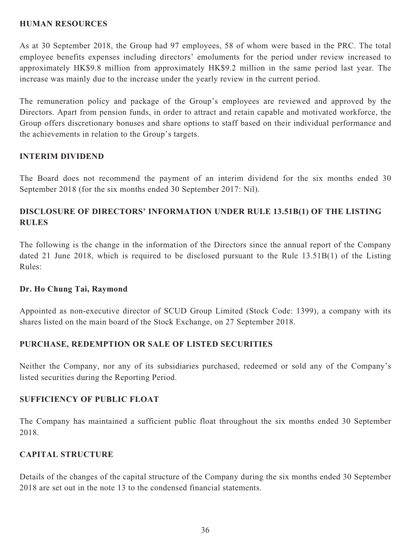## **HUMAN RESOURCES**

As at 30 September 2018, the Group had 97 employees, 58 of whom were based in the PRC. The total employee benefits expenses including directors' emoluments for the period under review increased to approximately HK\$9.8 million from approximately HK\$9.2 million in the same period last year. The increase was mainly due to the increase under the yearly review in the current period.

The remuneration policy and package of the Group's employees are reviewed and approved by the Directors. Apart from pension funds, in order to attract and retain capable and motivated workforce, the Group offers discretionary bonuses and share options to staff based on their individual performance and the achievements in relation to the Group's targets.

## **INTERIM DIVIDEND**

The Board does not recommend the payment of an interim dividend for the six months ended 30 September 2018 (for the six months ended 30 September 2017: Nil).

# **DISCLOSURE OF DIRECTORS' INFORMATION UNDER RULE 13.51B(1) OF THE LISTING RULES**

The following is the change in the information of the Directors since the annual report of the Company dated 21 June 2018, which is required to be disclosed pursuant to the Rule 13.51B(1) of the Listing Rules:

## **Dr. Ho Chung Tai, Raymond**

Appointed as non-executive director of SCUD Group Limited (Stock Code: 1399), a company with its shares listed on the main board of the Stock Exchange, on 27 September 2018.

## **PURCHASE, REDEMPTION OR SALE OF LISTED SECURITIES**

Neither the Company, nor any of its subsidiaries purchased, redeemed or sold any of the Company's listed securities during the Reporting Period.

## **SUFFICIENCY OF PUBLIC FLOAT**

The Company has maintained a sufficient public float throughout the six months ended 30 September 2018.

## **CAPITAL STRUCTURE**

Details of the changes of the capital structure of the Company during the six months ended 30 September 2018 are set out in the note 13 to the condensed financial statements.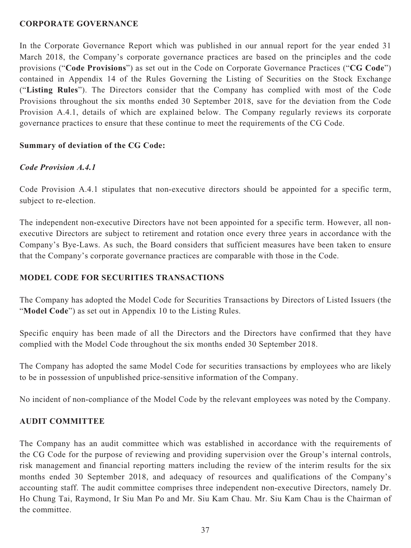## **CORPORATE GOVERNANCE**

In the Corporate Governance Report which was published in our annual report for the year ended 31 March 2018, the Company's corporate governance practices are based on the principles and the code provisions ("**Code Provisions**") as set out in the Code on Corporate Governance Practices ("**CG Code**") contained in Appendix 14 of the Rules Governing the Listing of Securities on the Stock Exchange ("**Listing Rules**"). The Directors consider that the Company has complied with most of the Code Provisions throughout the six months ended 30 September 2018, save for the deviation from the Code Provision A.4.1, details of which are explained below. The Company regularly reviews its corporate governance practices to ensure that these continue to meet the requirements of the CG Code.

## **Summary of deviation of the CG Code:**

## *Code Provision A.4.1*

Code Provision A.4.1 stipulates that non-executive directors should be appointed for a specific term, subject to re-election.

The independent non-executive Directors have not been appointed for a specific term. However, all nonexecutive Directors are subject to retirement and rotation once every three years in accordance with the Company's Bye-Laws. As such, the Board considers that sufficient measures have been taken to ensure that the Company's corporate governance practices are comparable with those in the Code.

## **MODEL CODE FOR SECURITIES TRANSACTIONS**

The Company has adopted the Model Code for Securities Transactions by Directors of Listed Issuers (the "**Model Code**") as set out in Appendix 10 to the Listing Rules.

Specific enquiry has been made of all the Directors and the Directors have confirmed that they have complied with the Model Code throughout the six months ended 30 September 2018.

The Company has adopted the same Model Code for securities transactions by employees who are likely to be in possession of unpublished price-sensitive information of the Company.

No incident of non-compliance of the Model Code by the relevant employees was noted by the Company.

## **AUDIT COMMITTEE**

The Company has an audit committee which was established in accordance with the requirements of the CG Code for the purpose of reviewing and providing supervision over the Group's internal controls, risk management and financial reporting matters including the review of the interim results for the six months ended 30 September 2018, and adequacy of resources and qualifications of the Company's accounting staff. The audit committee comprises three independent non-executive Directors, namely Dr. Ho Chung Tai, Raymond, Ir Siu Man Po and Mr. Siu Kam Chau. Mr. Siu Kam Chau is the Chairman of the committee.